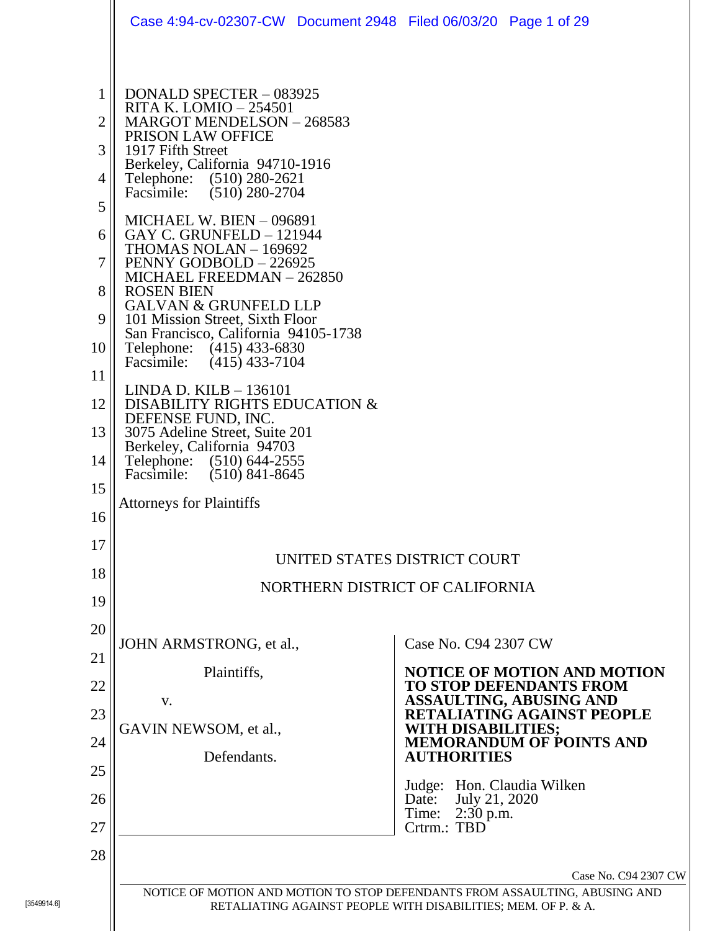|                                                                                                  | Case 4:94-cv-02307-CW  Document 2948  Filed 06/03/20  Page 1 of 29                                                                                                                                                                                                                                                                                                                                                                                                                                                                                                                                                                                                                                                                                                                                               |                                                               |                                                                                                                                                                        |                                                                                                                                                                                                |
|--------------------------------------------------------------------------------------------------|------------------------------------------------------------------------------------------------------------------------------------------------------------------------------------------------------------------------------------------------------------------------------------------------------------------------------------------------------------------------------------------------------------------------------------------------------------------------------------------------------------------------------------------------------------------------------------------------------------------------------------------------------------------------------------------------------------------------------------------------------------------------------------------------------------------|---------------------------------------------------------------|------------------------------------------------------------------------------------------------------------------------------------------------------------------------|------------------------------------------------------------------------------------------------------------------------------------------------------------------------------------------------|
| 1<br>$\overline{2}$<br>3<br>4<br>5<br>6<br>7<br>8<br>9<br>10<br>11<br>12<br>13<br>14<br>15<br>16 | DONALD SPECTER - 083925<br>RITA K. LOMIO – 254501<br>MARGOT MENDELSON - 268583<br>PRISON LAW OFFICE<br>1917 Fifth Street<br>Berkeley, California 94710-1916<br>Telephone: (510) 280-2621<br>Facsimile: (510) 280-2704<br><b>MICHAEL W. BIEN - 096891</b><br>GAY C. GRUNFELD - 121944<br>THOMAS NOLAN - 169692<br>PENNY GODBOLD - 226925<br>MICHAEL FREEDMAN - 262850<br><b>ROSEN BIEN</b><br><b>GALVAN &amp; GRUNFELD LLP</b><br>101 Mission Street, Sixth Floor<br>San Francisco, California 94105-1738<br>Telephone: (415) 433-6830<br>Facsimile: (415) 433-7104<br>LINDA D. KILB – 136101<br>DISABILITY RIGHTS EDUCATION &<br>DEFENSE FUND, INC.<br>3075 Adeline Street, Suite 201<br>Berkeley, California 94703<br>Telephone: (510) 644-2555<br>Facsimile: (510) 841-8645<br><b>Attorneys for Plaintiffs</b> |                                                               |                                                                                                                                                                        |                                                                                                                                                                                                |
| 17                                                                                               |                                                                                                                                                                                                                                                                                                                                                                                                                                                                                                                                                                                                                                                                                                                                                                                                                  | UNITED STATES DISTRICT COURT                                  |                                                                                                                                                                        |                                                                                                                                                                                                |
| 18                                                                                               |                                                                                                                                                                                                                                                                                                                                                                                                                                                                                                                                                                                                                                                                                                                                                                                                                  |                                                               |                                                                                                                                                                        |                                                                                                                                                                                                |
| 19                                                                                               |                                                                                                                                                                                                                                                                                                                                                                                                                                                                                                                                                                                                                                                                                                                                                                                                                  | NORTHERN DISTRICT OF CALIFORNIA                               |                                                                                                                                                                        |                                                                                                                                                                                                |
| 20<br>21<br>22<br>23<br>24<br>25<br>26<br>27<br>28                                               | JOHN ARMSTRONG, et al.,<br>Plaintiffs,<br>V.<br>GAVIN NEWSOM, et al.,<br>Defendants.                                                                                                                                                                                                                                                                                                                                                                                                                                                                                                                                                                                                                                                                                                                             |                                                               | Case No. C94 2307 CW<br><b>WITH DISABILITIES;</b><br><b>AUTHORITIES</b><br>Judge: Hon. Claudia Wilken<br>July 21, 2020<br>Date:<br>$2:30$ p.m.<br>Time:<br>Crtrm.: TBD | <b>NOTICE OF MOTION AND MOTION</b><br><b>TO STOP DEFENDANTS FROM</b><br><b>ASSAULTING, ABUSING AND</b><br>ETALIATING AGAINST PEOPLE<br><b>MEMORANDUM OF POINTS AND</b><br>Case No. C94 2307 CW |
|                                                                                                  |                                                                                                                                                                                                                                                                                                                                                                                                                                                                                                                                                                                                                                                                                                                                                                                                                  |                                                               |                                                                                                                                                                        | NOTICE OF MOTION AND MOTION TO STOP DEFENDANTS FROM ASSAULTING, ABUSING AND                                                                                                                    |
|                                                                                                  |                                                                                                                                                                                                                                                                                                                                                                                                                                                                                                                                                                                                                                                                                                                                                                                                                  | RETALIATING AGAINST PEOPLE WITH DISABILITIES; MEM. OF P. & A. |                                                                                                                                                                        |                                                                                                                                                                                                |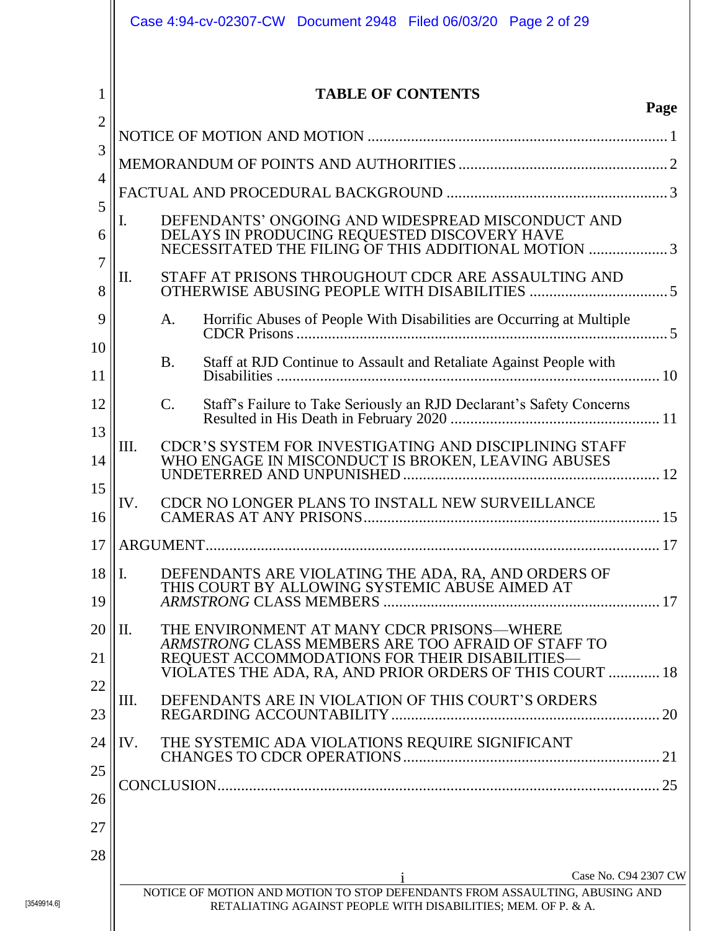|                     | Case 4:94-cv-02307-CW Document 2948 Filed 06/03/20 Page 2 of 29                                                                                                                                                       |
|---------------------|-----------------------------------------------------------------------------------------------------------------------------------------------------------------------------------------------------------------------|
| 1<br>$\overline{2}$ | <b>TABLE OF CONTENTS</b><br>Page                                                                                                                                                                                      |
|                     |                                                                                                                                                                                                                       |
| 3                   |                                                                                                                                                                                                                       |
| $\overline{4}$      |                                                                                                                                                                                                                       |
| 5<br>6              | I.<br>DEFENDANTS' ONGOING AND WIDESPREAD MISCONDUCT AND<br>DELAYS IN PRODUCING REQUESTED DISCOVERY HAVE NECESSITATED THE FILING OF THIS ADDITIONAL MOTION 3                                                           |
| 7<br>8              | П.<br>STAFF AT PRISONS THROUGHOUT CDCR ARE ASSAULTING AND                                                                                                                                                             |
| 9                   | Horrific Abuses of People With Disabilities are Occurring at Multiple<br>A.                                                                                                                                           |
| 10<br>11            | <b>B.</b><br>Staff at RJD Continue to Assault and Retaliate Against People with                                                                                                                                       |
| 12                  | $\mathcal{C}$ .                                                                                                                                                                                                       |
| 13<br>14            | Ш.<br>CDCR'S SYSTEM FOR INVESTIGATING AND DISCIPLINING STAFF<br>WHO ENGAGE IN MISCONDUCT IS BROKEN, LEAVING ABUSES                                                                                                    |
| 15<br>16            | CDCR NO LONGER PLANS TO INSTALL NEW SURVEILLANCE<br>IV.                                                                                                                                                               |
| 17                  |                                                                                                                                                                                                                       |
| 18<br>19            | DEFENDANTS ARE VIOLATING THE ADA, RA, AND ORDERS OF<br>$\mathbf{I}$ .<br>THIS COURT BY ALLOWING SYSTEMIC ABUSE AIMED AT                                                                                               |
| 20<br>21            | II.<br>THE ENVIRONMENT AT MANY CDCR PRISONS—WHERE<br>ARMSTRONG CLASS MEMBERS ARE TOO AFRAID OF STAFF TO<br>REQUEST ACCOMMODATIONS FOR THEIR DISABILITIES-<br>VIOLATES THE ADA, RA, AND PRIOR ORDERS OF THIS COURT  18 |
| 22<br>23            | DEFENDANTS ARE IN VIOLATION OF THIS COURT'S ORDERS<br>III.                                                                                                                                                            |
| 24                  | THE SYSTEMIC ADA VIOLATIONS REQUIRE SIGNIFICANT<br>IV.                                                                                                                                                                |
| 25<br>26<br>27      |                                                                                                                                                                                                                       |
| 28                  |                                                                                                                                                                                                                       |
|                     | Case No. C94 2307 CW<br>NOTICE OF MOTION AND MOTION TO STOP DEFENDANTS FROM ASSAULTING, ABUSING AND<br>RETALIATING AGAINST PEOPLE WITH DISABILITIES; MEM. OF P. & A.                                                  |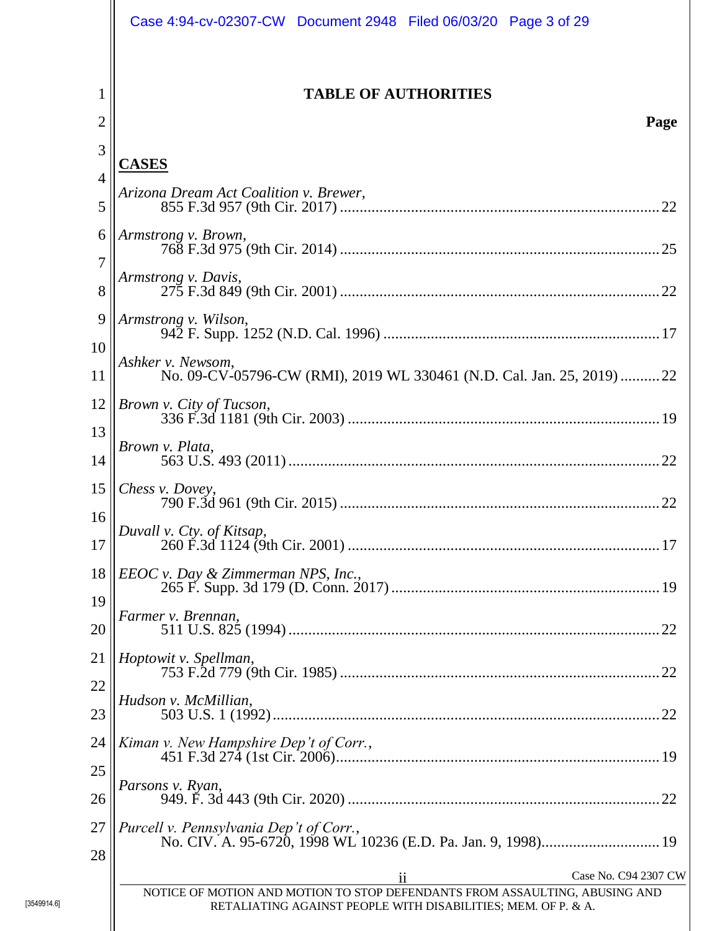|                          | Case 4:94-cv-02307-CW Document 2948 Filed 06/03/20 Page 3 of 29                                                                              |
|--------------------------|----------------------------------------------------------------------------------------------------------------------------------------------|
| 1<br>$\overline{2}$      | <b>TABLE OF AUTHORITIES</b><br>Page                                                                                                          |
| 3<br>$\overline{4}$<br>5 | <b>CASES</b><br>Arizona Dream Act Coalition v. Brewer,                                                                                       |
| 6<br>$\overline{7}$      | Armstrong v. Brown,<br>Armstrong v. Davis,                                                                                                   |
| 8<br>9<br>10             | Armstrong v. Wilson,                                                                                                                         |
| 11<br>12                 | Ashker v. Newsom,<br>No. 09-CV-05796-CW (RMI), 2019 WL 330461 (N.D. Cal. Jan. 25, 2019)  22<br>Brown v. City of Tucson,                      |
| 13<br>14<br>15           | Brown v. Plata,<br>Chess v. Dovey,                                                                                                           |
| 16<br>17                 | Duvall v. Cty. of Kitsap,                                                                                                                    |
| 18<br>19                 | $EEOC$ v. Day & Zimmerman NPS, Inc.,<br>Farmer v. Brennan,                                                                                   |
| 20<br>21<br>22           | Hoptowit v. Spellman,                                                                                                                        |
| 23<br>24                 | Hudson v. McMillian,<br>Kiman v. New Hampshire Dep't of Corr.,                                                                               |
| 25<br>26                 | Parsons v. Ryan,                                                                                                                             |
| 27<br>28                 | Purcell v. Pennsylvania Dep't of Corr.,<br>No. CIV. A. 95-6720, 1998 WL 10236 (E.D. Pa. Jan. 9, 1998) 19<br>Case No. C94 2307 CW<br>11       |
|                          | NOTICE OF MOTION AND MOTION TO STOP DEFENDANTS FROM ASSAULTING, ABUSING AND<br>RETALIATING AGAINST PEOPLE WITH DISABILITIES; MEM. OF P. & A. |

[3549914.6]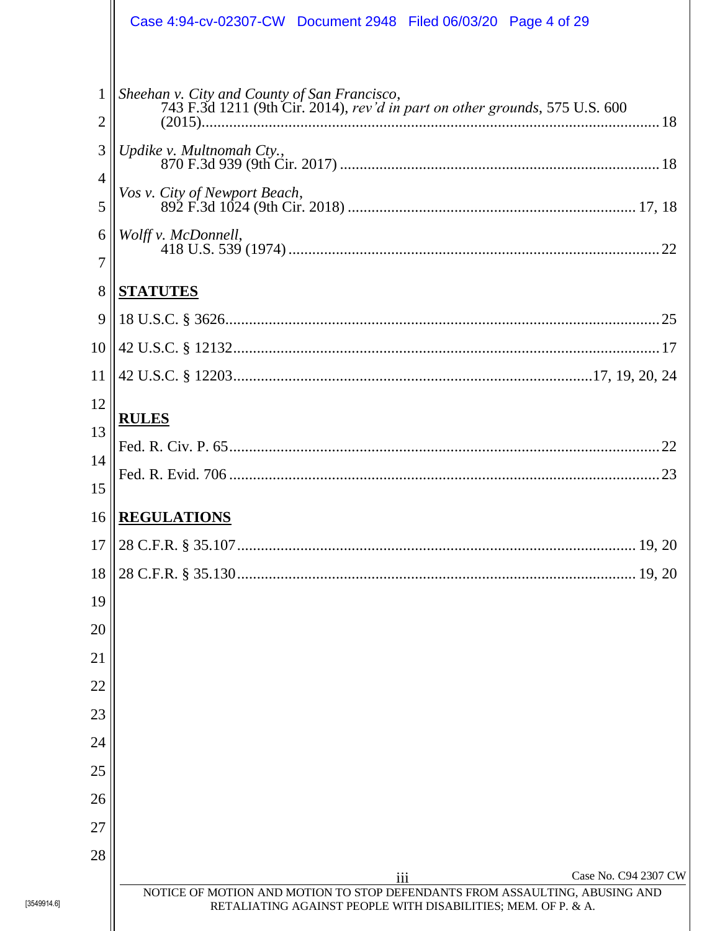|                                     | Case 4:94-cv-02307-CW  Document 2948  Filed 06/03/20  Page 4 of 29                                                                                       |
|-------------------------------------|----------------------------------------------------------------------------------------------------------------------------------------------------------|
| $\mathbf{1}$<br>$\overline{2}$<br>3 | Sheehan v. City and County of San Francisco,<br>743 F.3d 1211 (9th Cir. 2014), rev'd in part on other grounds, 575 U.S. 600<br>Updike v. Multnomah Cty., |
| $\overline{4}$<br>5                 | Vos v. City of Newport Beach,                                                                                                                            |
| 6<br>7                              | Wolff v. McDonnell,                                                                                                                                      |
| 8                                   | <b>STATUTES</b>                                                                                                                                          |
| 9                                   |                                                                                                                                                          |
| 10                                  |                                                                                                                                                          |
| 11                                  |                                                                                                                                                          |
| 12                                  | <b>RULES</b>                                                                                                                                             |
| 13                                  |                                                                                                                                                          |
| 14                                  |                                                                                                                                                          |
| 15                                  |                                                                                                                                                          |
| 16                                  | <b>REGULATIONS</b>                                                                                                                                       |
| 17                                  |                                                                                                                                                          |
| 18                                  |                                                                                                                                                          |
| 19                                  |                                                                                                                                                          |
| 20                                  |                                                                                                                                                          |
| 21                                  |                                                                                                                                                          |
| 22                                  |                                                                                                                                                          |
| 23                                  |                                                                                                                                                          |
| 24                                  |                                                                                                                                                          |
| 25                                  |                                                                                                                                                          |
| 26                                  |                                                                                                                                                          |
| 27                                  |                                                                                                                                                          |
| 28                                  | Case No. C94 2307 CW                                                                                                                                     |
|                                     | iii<br>NOTICE OF MOTION AND MOTION TO STOP DEFENDANTS FROM ASSAULTING, ABUSING AND                                                                       |
|                                     | RETALIATING AGAINST PEOPLE WITH DISABILITIES; MEM. OF P. & A.                                                                                            |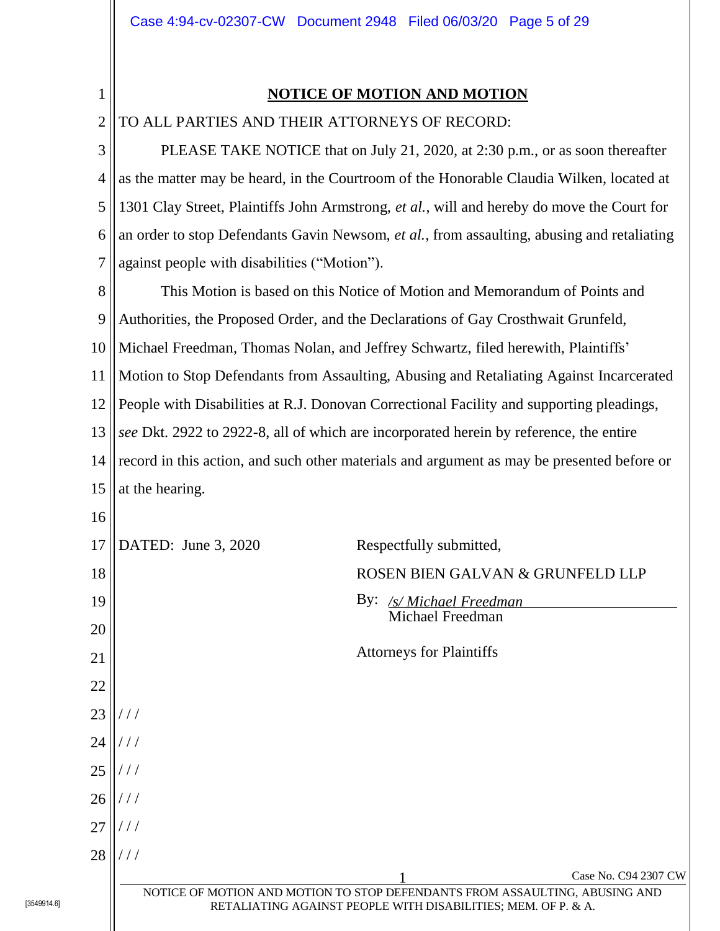<span id="page-4-0"></span>1

## **NOTICE OF MOTION AND MOTION**

2 TO ALL PARTIES AND THEIR ATTORNEYS OF RECORD:

3 4 5 6 7 8 9 10 11 12 13 14 15 16 17 18 19 20 21 22 23 24 25 26 27 28 Case No. C94 2307 CW NOTICE OF MOTION AND MOTION TO STOP DEFENDANTS FROM ASSAULTING, ABUSING AND RETALIATING AGAINST PEOPLE WITH DISABILITIES; MEM. OF P. & A. PLEASE TAKE NOTICE that on July 21, 2020, at 2:30 p.m., or as soon thereafter as the matter may be heard, in the Courtroom of the Honorable Claudia Wilken, located at 1301 Clay Street, Plaintiffs John Armstrong, *et al.*, will and hereby do move the Court for an order to stop Defendants Gavin Newsom, *et al.*, from assaulting, abusing and retaliating against people with disabilities ("Motion"). This Motion is based on this Notice of Motion and Memorandum of Points and Authorities, the Proposed Order, and the Declarations of Gay Crosthwait Grunfeld, Michael Freedman, Thomas Nolan, and Jeffrey Schwartz, filed herewith, Plaintiffs' Motion to Stop Defendants from Assaulting, Abusing and Retaliating Against Incarcerated People with Disabilities at R.J. Donovan Correctional Facility and supporting pleadings, *see* Dkt. 2922 to 2922-8, all of which are incorporated herein by reference, the entire record in this action, and such other materials and argument as may be presented before or at the hearing. DATED: June 3, 2020 Respectfully submitted, ROSEN BIEN GALVAN & GRUNFELD LLP By: */s/ Michael Freedman* Michael Freedman Attorneys for Plaintiffs / / / / / / / / / / / / / / / / / /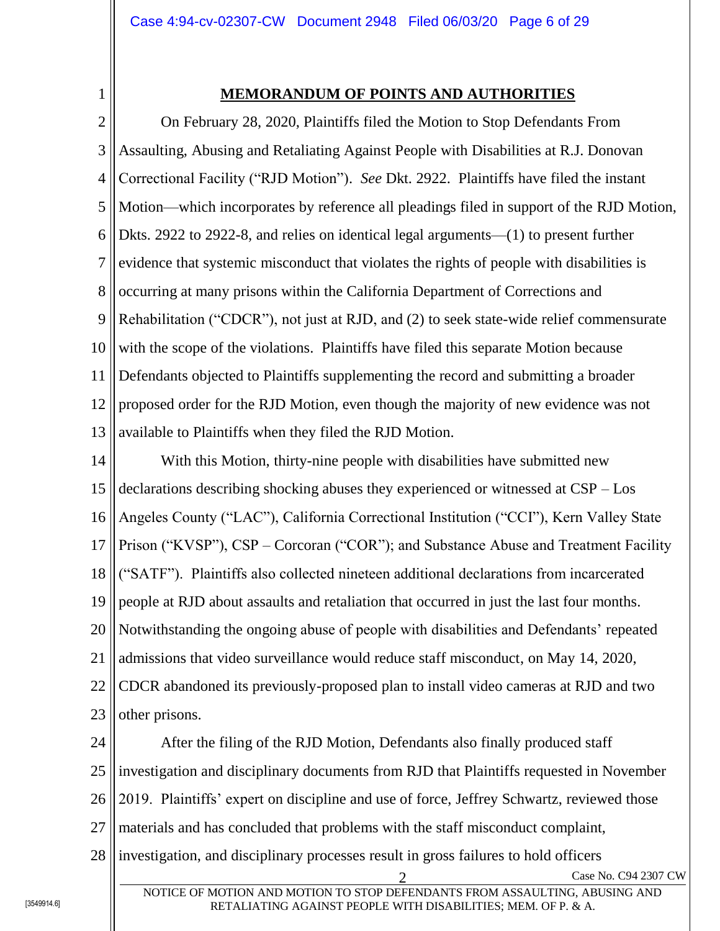<span id="page-5-0"></span>1

# **MEMORANDUM OF POINTS AND AUTHORITIES**

2 3 4 5 6 7 8 9 10 11 12 13 On February 28, 2020, Plaintiffs filed the Motion to Stop Defendants From Assaulting, Abusing and Retaliating Against People with Disabilities at R.J. Donovan Correctional Facility ("RJD Motion"). *See* Dkt. 2922. Plaintiffs have filed the instant Motion—which incorporates by reference all pleadings filed in support of the RJD Motion, Dkts. 2922 to 2922-8, and relies on identical legal arguments—(1) to present further evidence that systemic misconduct that violates the rights of people with disabilities is occurring at many prisons within the California Department of Corrections and Rehabilitation ("CDCR"), not just at RJD, and (2) to seek state-wide relief commensurate with the scope of the violations. Plaintiffs have filed this separate Motion because Defendants objected to Plaintiffs supplementing the record and submitting a broader proposed order for the RJD Motion, even though the majority of new evidence was not available to Plaintiffs when they filed the RJD Motion.

14 15 16 17 18 19 20 21 22 23 With this Motion, thirty-nine people with disabilities have submitted new declarations describing shocking abuses they experienced or witnessed at CSP – Los Angeles County ("LAC"), California Correctional Institution ("CCI"), Kern Valley State Prison ("KVSP"), CSP – Corcoran ("COR"); and Substance Abuse and Treatment Facility ("SATF"). Plaintiffs also collected nineteen additional declarations from incarcerated people at RJD about assaults and retaliation that occurred in just the last four months. Notwithstanding the ongoing abuse of people with disabilities and Defendants' repeated admissions that video surveillance would reduce staff misconduct, on May 14, 2020, CDCR abandoned its previously-proposed plan to install video cameras at RJD and two other prisons.

24 25 26 27 After the filing of the RJD Motion, Defendants also finally produced staff investigation and disciplinary documents from RJD that Plaintiffs requested in November 2019. Plaintiffs' expert on discipline and use of force, Jeffrey Schwartz, reviewed those materials and has concluded that problems with the staff misconduct complaint,

28 investigation, and disciplinary processes result in gross failures to hold officers

Case No. C94 2307 CW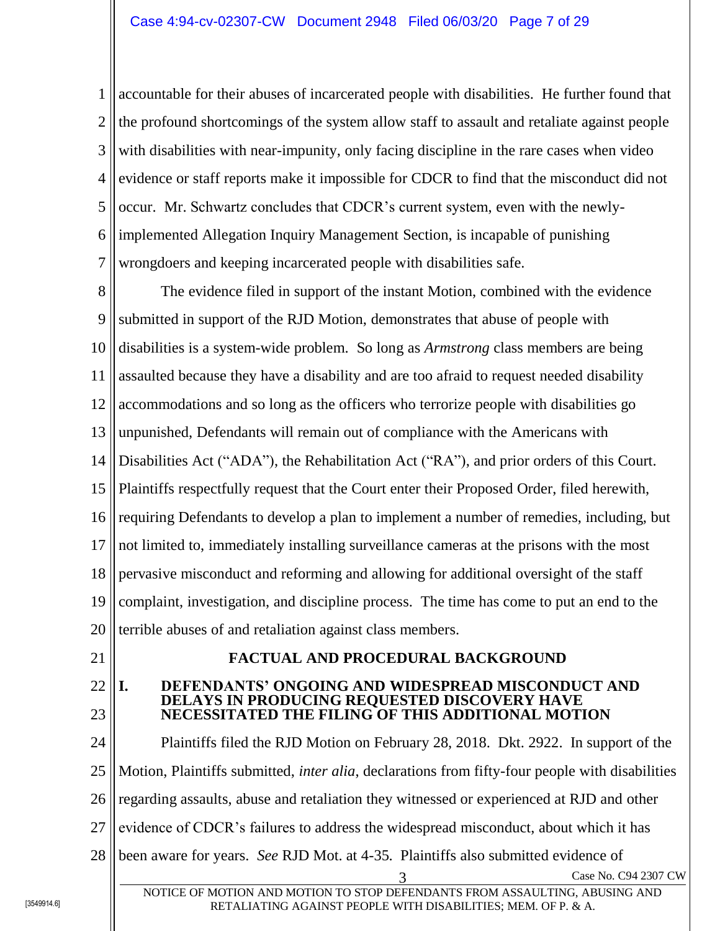1 2 3 4 5 6 7 accountable for their abuses of incarcerated people with disabilities. He further found that the profound shortcomings of the system allow staff to assault and retaliate against people with disabilities with near-impunity, only facing discipline in the rare cases when video evidence or staff reports make it impossible for CDCR to find that the misconduct did not occur. Mr. Schwartz concludes that CDCR's current system, even with the newlyimplemented Allegation Inquiry Management Section, is incapable of punishing wrongdoers and keeping incarcerated people with disabilities safe.

8 9 10 11 12 13 14 15 16 17 18 19 20 The evidence filed in support of the instant Motion, combined with the evidence submitted in support of the RJD Motion, demonstrates that abuse of people with disabilities is a system-wide problem. So long as *Armstrong* class members are being assaulted because they have a disability and are too afraid to request needed disability accommodations and so long as the officers who terrorize people with disabilities go unpunished, Defendants will remain out of compliance with the Americans with Disabilities Act ("ADA"), the Rehabilitation Act ("RA"), and prior orders of this Court. Plaintiffs respectfully request that the Court enter their Proposed Order, filed herewith, requiring Defendants to develop a plan to implement a number of remedies, including, but not limited to, immediately installing surveillance cameras at the prisons with the most pervasive misconduct and reforming and allowing for additional oversight of the staff complaint, investigation, and discipline process. The time has come to put an end to the terrible abuses of and retaliation against class members.

<span id="page-6-0"></span>21

### **FACTUAL AND PROCEDURAL BACKGROUND**

#### <span id="page-6-1"></span>22 23 **I. DEFENDANTS' ONGOING AND WIDESPREAD MISCONDUCT AND DELAYS IN PRODUCING REQUESTED DISCOVERY HAVE NECESSITATED THE FILING OF THIS ADDITIONAL MOTION**

24 25 26 27 28 3 Case No. C94 2307 CW NOTICE OF MOTION AND MOTION TO STOP DEFENDANTS FROM ASSAULTING, ABUSING AND Plaintiffs filed the RJD Motion on February 28, 2018. Dkt. 2922. In support of the Motion, Plaintiffs submitted, *inter alia*, declarations from fifty-four people with disabilities regarding assaults, abuse and retaliation they witnessed or experienced at RJD and other evidence of CDCR's failures to address the widespread misconduct, about which it has been aware for years. *See* RJD Mot. at 4-35. Plaintiffs also submitted evidence of

RETALIATING AGAINST PEOPLE WITH DISABILITIES; MEM. OF P. & A.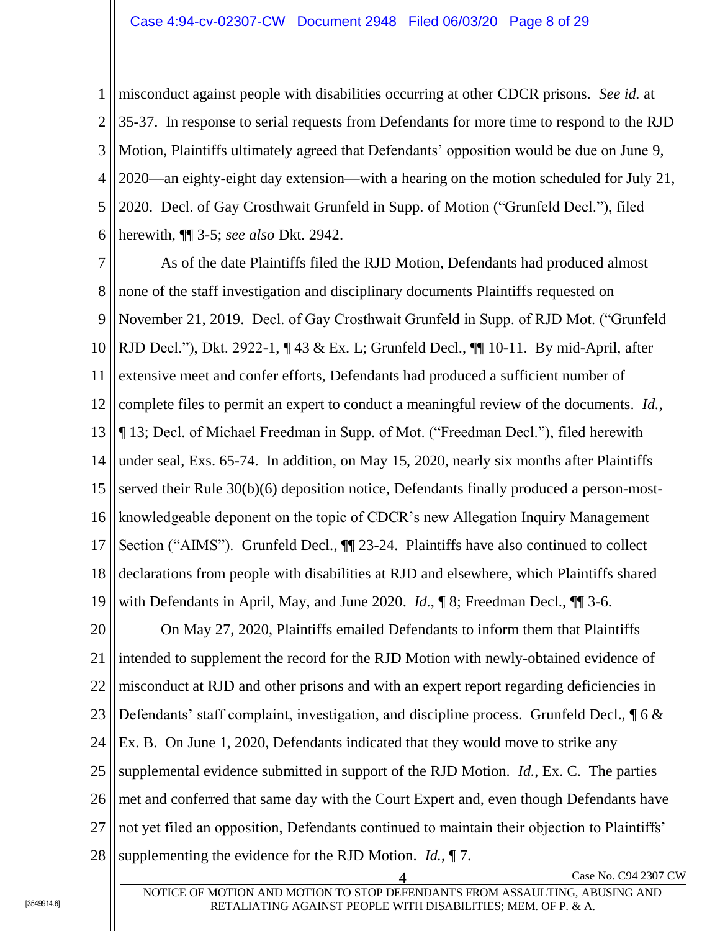1 2 3 4 5 6 misconduct against people with disabilities occurring at other CDCR prisons. *See id.* at 35-37. In response to serial requests from Defendants for more time to respond to the RJD Motion, Plaintiffs ultimately agreed that Defendants' opposition would be due on June 9, 2020—an eighty-eight day extension—with a hearing on the motion scheduled for July 21, 2020. Decl. of Gay Crosthwait Grunfeld in Supp. of Motion ("Grunfeld Decl."), filed herewith, ¶¶ 3-5; *see also* Dkt. 2942.

7 8 9 10 11 12 13 14 15 16 17 18 19 As of the date Plaintiffs filed the RJD Motion, Defendants had produced almost none of the staff investigation and disciplinary documents Plaintiffs requested on November 21, 2019. Decl. of Gay Crosthwait Grunfeld in Supp. of RJD Mot. ("Grunfeld RJD Decl."), Dkt. 2922-1, ¶ 43 & Ex. L; Grunfeld Decl., ¶¶ 10-11. By mid-April, after extensive meet and confer efforts, Defendants had produced a sufficient number of complete files to permit an expert to conduct a meaningful review of the documents. *Id.*, ¶ 13; Decl. of Michael Freedman in Supp. of Mot. ("Freedman Decl."), filed herewith under seal, Exs. 65-74. In addition, on May 15, 2020, nearly six months after Plaintiffs served their Rule 30(b)(6) deposition notice, Defendants finally produced a person-mostknowledgeable deponent on the topic of CDCR's new Allegation Inquiry Management Section ("AIMS"). Grunfeld Decl.,  $\P$  23-24. Plaintiffs have also continued to collect declarations from people with disabilities at RJD and elsewhere, which Plaintiffs shared with Defendants in April, May, and June 2020. *Id.*, ¶ 8; Freedman Decl., ¶¶ 3-6.

20 21 22 23 24 25 26 27 28 On May 27, 2020, Plaintiffs emailed Defendants to inform them that Plaintiffs intended to supplement the record for the RJD Motion with newly-obtained evidence of misconduct at RJD and other prisons and with an expert report regarding deficiencies in Defendants' staff complaint, investigation, and discipline process. Grunfeld Decl.,  $\oint 6 \&$ Ex. B. On June 1, 2020, Defendants indicated that they would move to strike any supplemental evidence submitted in support of the RJD Motion. *Id.*, Ex. C. The parties met and conferred that same day with the Court Expert and, even though Defendants have not yet filed an opposition, Defendants continued to maintain their objection to Plaintiffs' supplementing the evidence for the RJD Motion. *Id.*, ¶ 7.

Case No. C94 2307 CW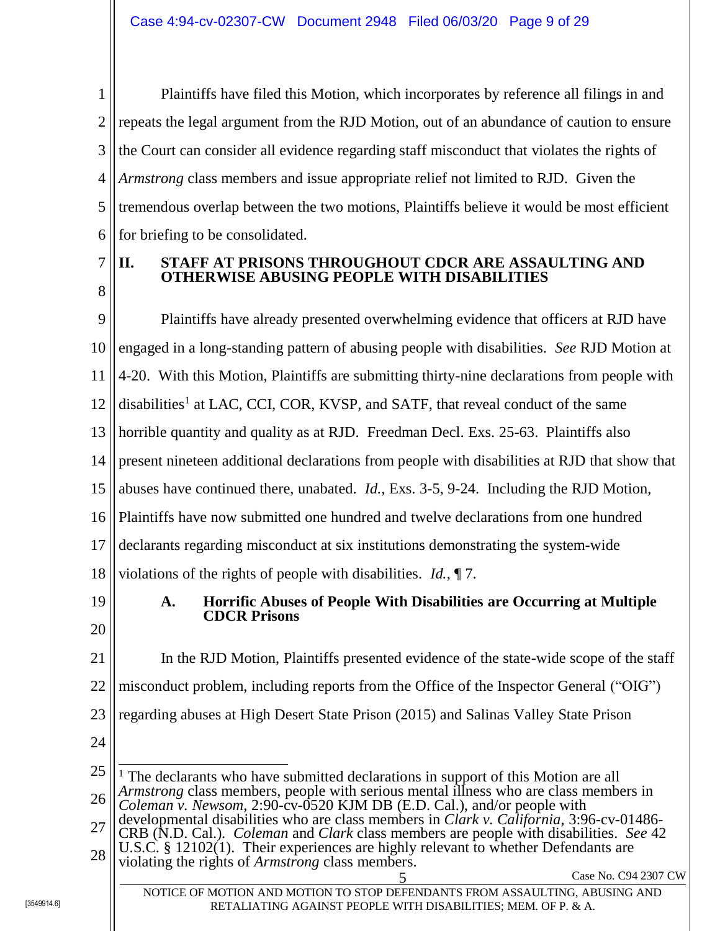1 2 3 4 5 6 Plaintiffs have filed this Motion, which incorporates by reference all filings in and repeats the legal argument from the RJD Motion, out of an abundance of caution to ensure the Court can consider all evidence regarding staff misconduct that violates the rights of *Armstrong* class members and issue appropriate relief not limited to RJD. Given the tremendous overlap between the two motions, Plaintiffs believe it would be most efficient for briefing to be consolidated.

7 8

# <span id="page-8-0"></span>**II. STAFF AT PRISONS THROUGHOUT CDCR ARE ASSAULTING AND OTHERWISE ABUSING PEOPLE WITH DISABILITIES**

9 10 11 12 13 14 15 16 17 18 19 20 Plaintiffs have already presented overwhelming evidence that officers at RJD have engaged in a long-standing pattern of abusing people with disabilities. *See* RJD Motion at 4-20. With this Motion, Plaintiffs are submitting thirty-nine declarations from people with disabilities<sup>1</sup> at LAC, CCI, COR, KVSP, and SATF, that reveal conduct of the same horrible quantity and quality as at RJD. Freedman Decl. Exs. 25-63. Plaintiffs also present nineteen additional declarations from people with disabilities at RJD that show that abuses have continued there, unabated. *Id.*, Exs. 3-5, 9-24. Including the RJD Motion, Plaintiffs have now submitted one hundred and twelve declarations from one hundred declarants regarding misconduct at six institutions demonstrating the system-wide violations of the rights of people with disabilities. *Id.*, ¶ 7. **A. Horrific Abuses of People With Disabilities are Occurring at Multiple CDCR Prisons**

<span id="page-8-1"></span>21 22 23 24 In the RJD Motion, Plaintiffs presented evidence of the state-wide scope of the staff misconduct problem, including reports from the Office of the Inspector General ("OIG") regarding abuses at High Desert State Prison (2015) and Salinas Valley State Prison

25 26  $\overline{a}$ <sup>1</sup> The declarants who have submitted declarations in support of this Motion are all *Armstrong* class members, people with serious mental illness who are class members in *Coleman v. Newsom*, 2:90-cv-0520 KJM DB (E.D. Cal.), and/or people with

27 28 developmental disabilities who are class members in *Clark v. California*, 3:96-cv-01486- CRB (N.D. Cal.). *Coleman* and *Clark* class members are people with disabilities. *See* 42 U.S.C. § 12102(1). Their experiences are highly relevant to whether Defendants are

violating the rights of *Armstrong* class members.

5 Case No. C94 2307 CW

NOTICE OF MOTION AND MOTION TO STOP DEFENDANTS FROM ASSAULTING, ABUSING AND RETALIATING AGAINST PEOPLE WITH DISABILITIES; MEM. OF P. & A.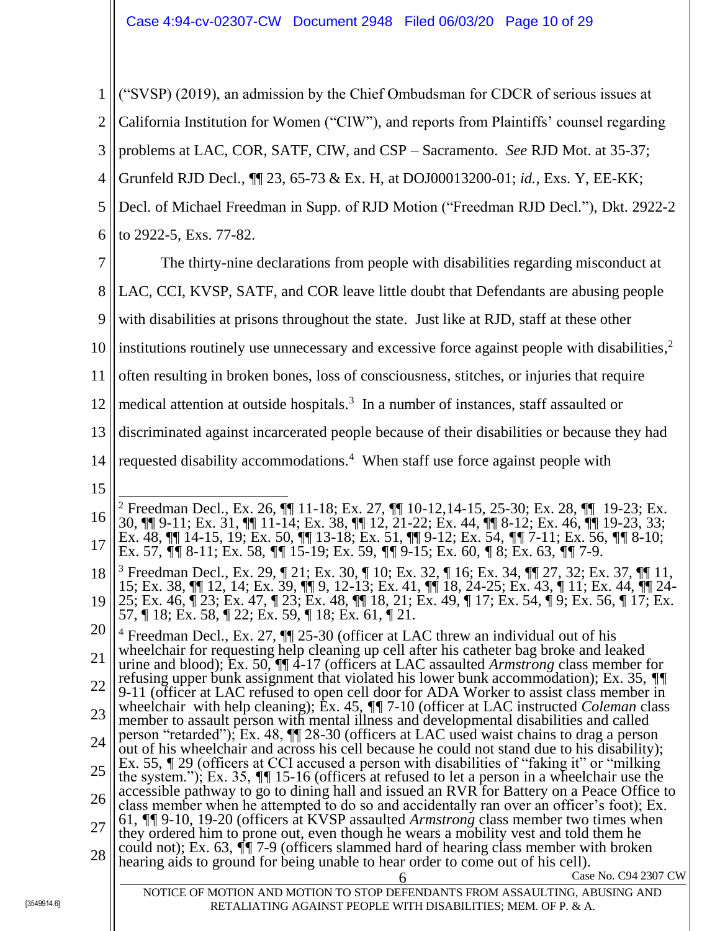1 2 3 4 5 6 7 ("SVSP) (2019), an admission by the Chief Ombudsman for CDCR of serious issues at California Institution for Women ("CIW"), and reports from Plaintiffs' counsel regarding problems at LAC, COR, SATF, CIW, and CSP – Sacramento. *See* RJD Mot. at 35-37; Grunfeld RJD Decl., ¶¶ 23, 65-73 & Ex. H, at DOJ00013200-01; *id.*, Exs. Y, EE-KK; Decl. of Michael Freedman in Supp. of RJD Motion ("Freedman RJD Decl."), Dkt. 2922-2 to 2922-5, Exs. 77-82. The thirty-nine declarations from people with disabilities regarding misconduct at

8 9 LAC, CCI, KVSP, SATF, and COR leave little doubt that Defendants are abusing people with disabilities at prisons throughout the state. Just like at RJD, staff at these other

10 institutions routinely use unnecessary and excessive force against people with disabilities, 2

11 often resulting in broken bones, loss of consciousness, stitches, or injuries that require

12 medical attention at outside hospitals.<sup>3</sup> In a number of instances, staff assaulted or

13 discriminated against incarcerated people because of their disabilities or because they had

- 14 requested disability accommodations.<sup>4</sup> When staff use force against people with
- 15

16 17  $\overline{a}$ <sup>2</sup> Freedman Decl., Ex. 26, ¶¶ 11-18; Ex. 27, ¶¶ 10-12,14-15, 25-30; Ex. 28, ¶¶ 19-23; Ex. 30, ¶¶ 9-11; Ex. 31, ¶¶ 11-14; Ex. 38, ¶¶ 12, 21-22; Ex. 44, ¶¶ 8-12; Ex. 46, ¶¶ 19-23, 33; Ex. 48, ¶¶ 14-15, 19; Ex. 50, ¶¶ 13-18; Ex. 51, ¶¶ 9-12; Ex. 54, *¶¶* 7-11; Ex. 56, *¶¶* 8-10; Ex. 57, *¶¶* 8-11; Ex. 58, *¶¶* 15-19; Ex. 59, *¶¶* 9-15; Ex. 60, *¶* 8; Ex. 63, *¶¶* 7-9.

18 19 <sup>3</sup> Freedman Decl., Ex. 29, ¶ 21; Ex. 30, ¶ 10; Ex. 32, ¶ 16; Ex. 34, ¶¶ 27, 32; Ex. 37, ¶¶ 11, 15; Ex. 38, ¶¶ 12, 14; Ex. 39, ¶¶ 9, 12-13; Ex. 41, ¶¶ 18, 24-25; Ex. 43, ¶ 11; Ex. 44, ¶¶ 24- 25; Ex. 46, ¶ 23; Ex. 47, ¶ 23; Ex. 48, ¶¶ 18, 21; Ex. 49, ¶ 17; Ex. 54, ¶ 9; Ex. 56, ¶ 17; Ex. 57, ¶ 18; Ex. 58, ¶ 22; Ex. 59, ¶ 18; Ex. 61, ¶ 21.

20 21 22 23 24 25 <sup>4</sup> Freedman Decl., Ex. 27,  $\P$  25-30 (officer at LAC threw an individual out of his wheelchair for requesting help cleaning up cell after his catheter bag broke and leaked urine and blood); Ex. 50, ¶¶ 4-17 (officers at LAC assaulted *Armstrong* class member for refusing upper bunk assignment that violated his lower bunk accommodation); Ex. 35, *¶¶*  9-11 (officer at LAC refused to open cell door for ADA Worker to assist class member in wheelchair with help cleaning); Ex. 45, *¶¶* 7-10 (officer at LAC instructed *Coleman* class member to assault person with mental illness and developmental disabilities and called person "retarded"); Ex. 48, ¶¶ 28-30 (officers at LAC used waist chains to drag a person out of his wheelchair and across his cell because he could not stand due to his disability); Ex. 55,  $\sqrt{T}$  29 (officers at CCI accused a person with disabilities of "faking it" or "milking" the system."); Ex. 35, *¶¶* 15-16 (officers at refused to let a person in a wheelchair use the

26 accessible pathway to go to dining hall and issued an RVR for Battery on a Peace Office to class member when he attempted to do so and accidentally ran over an officer's foot); Ex. 61, *¶¶* 9-10, 19-20 (officers at KVSP assaulted *Armstrong* class member two times when

27 28 they ordered him to prone out, even though he wears a mobility vest and told them he could not); Ex. 63, *¶¶* 7-9 (officers slammed hard of hearing class member with broken hearing aids to ground for being unable to hear order to come out of his cell).

Case No. C94 2307 CW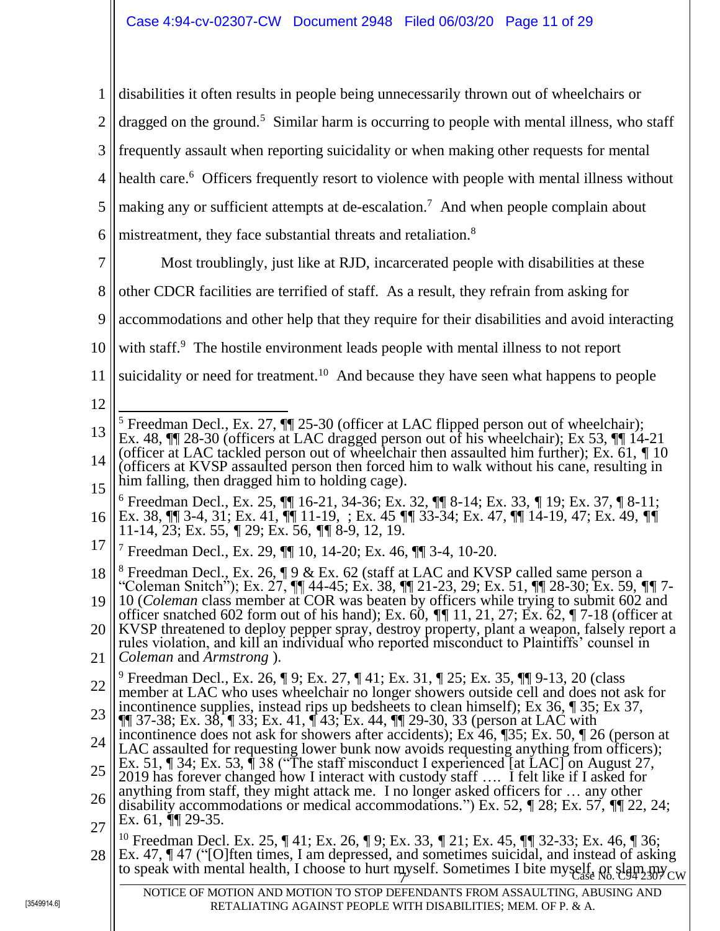1 2 3 4 5 6 7 8 9 10 11 12 13 14 15 16 17 18 19 20 21 22 23 24 25 26 27 28 to speak with mental health, I choose to hurt myself. Sometimes I bite myself, or slam my Case NOTICE OF MOTION AND MOTION TO STOP DEFENDANTS FROM ASSAULTING, ABUSING AND RETALIATING AGAINST PEOPLE WITH DISABILITIES; MEM. OF P. & A. disabilities it often results in people being unnecessarily thrown out of wheelchairs or dragged on the ground.<sup>5</sup> Similar harm is occurring to people with mental illness, who staff frequently assault when reporting suicidality or when making other requests for mental health care.<sup>6</sup> Officers frequently resort to violence with people with mental illness without making any or sufficient attempts at de-escalation.<sup>7</sup> And when people complain about mistreatment, they face substantial threats and retaliation.<sup>8</sup> Most troublingly, just like at RJD, incarcerated people with disabilities at these other CDCR facilities are terrified of staff. As a result, they refrain from asking for accommodations and other help that they require for their disabilities and avoid interacting with staff.<sup>9</sup> The hostile environment leads people with mental illness to not report suicidality or need for treatment.<sup>10</sup> And because they have seen what happens to people  $\overline{a}$ <sup>5</sup> Freedman Decl., Ex. 27,  $\P$  25-30 (officer at LAC flipped person out of wheelchair); Ex. 48, ¶¶ 28-30 (officers at LAC dragged person out of his wheelchair); Ex 53, ¶¶ 14-21 (officer at LAC tackled person out of wheelchair then assaulted him further); Ex. 61, *¶* 10 (officers at KVSP assaulted person then forced him to walk without his cane, resulting in him falling, then dragged him to holding cage). <sup>6</sup> Freedman Decl., Ex. 25, ¶¶ 16-21, 34-36; Ex. 32, ¶¶ 8-14; Ex. 33, *¶* 19; Ex. 37, ¶ 8-11; Ex. 38, ¶¶ 3-4, 31; Ex. 41, ¶¶ 11-19, ; Ex. 45 *¶¶* 33-34; Ex. 47, ¶¶ 14-19, 47; Ex. 49, *¶¶*  11-14, 23; Ex. 55, *¶* 29; Ex. 56, *¶¶* 8-9, 12, 19. <sup>7</sup> Freedman Decl., Ex. 29, ¶¶ 10, 14-20; Ex. 46, ¶¶ 3-4, 10-20. <sup>8</sup> Freedman Decl., Ex. 26,  $\P$  9 & Ex. 62 (staff at LAC and KVSP called same person a "Coleman Snitch"); Ex. 27, ¶¶ 44-45; Ex. 38, ¶¶ 21-23, 29; Ex. 51, ¶¶ 28-30; Ex. 59, *¶¶* 7- 10 (*Coleman* class member at COR was beaten by officers while trying to submit 602 and officer snatched 602 form out of his hand); Ex. 60, *¶¶* 11, 21, 27; Ex. 62, ¶ 7-18 (officer at KVSP threatened to deploy pepper spray, destroy property, plant a weapon, falsely report a rules violation, and kill an individual who reported misconduct to Plaintiffs' counsel in *Coleman* and *Armstrong* ). <sup>9</sup> Freedman Decl., Ex. 26, ¶ 9; Ex. 27, ¶ 41; Ex. 31, ¶ 25; Ex. 35, ¶¶ 9-13, 20 (class member at LAC who uses wheelchair no longer showers outside cell and does not ask for incontinence supplies, instead rips up bedsheets to clean himself); Ex 36, ¶ 35; Ex 37,  $\P$  37-38; Ex. 38,  $\P$  33; Ex. 41,  $\P$  43; Ex. 44,  $\P$  29-30, 33 (person at LAC with incontinence does not ask for showers after accidents); Ex 46, ¶35; Ex. 50, ¶ 26 (person at LAC assaulted for requesting lower bunk now avoids requesting anything from officers); Ex. 51, ¶ 34; Ex. 53, ¶ 38 ("The staff misconduct I experienced [at LAC] on August 27, 2019 has forever changed how I interact with custody staff …. I felt like if I asked for anything from staff, they might attack me. I no longer asked officers for … any other disability accommodations or medical accommodations.") Ex. 52, *¶* 28; Ex. 57, *¶*¶ 22, 24; Ex. 61, *¶*¶ 29-35. <sup>10</sup> Freedman Decl. Ex. 25, ¶ 41; Ex. 26, ¶ 9; Ex. 33, *¶* 21; Ex. 45, ¶*¶* 32-33; Ex. 46, ¶ 36; Ex. 47,  $\P$  47 ("[O]ften times, I am depressed, and sometimes suicidal, and instead of asking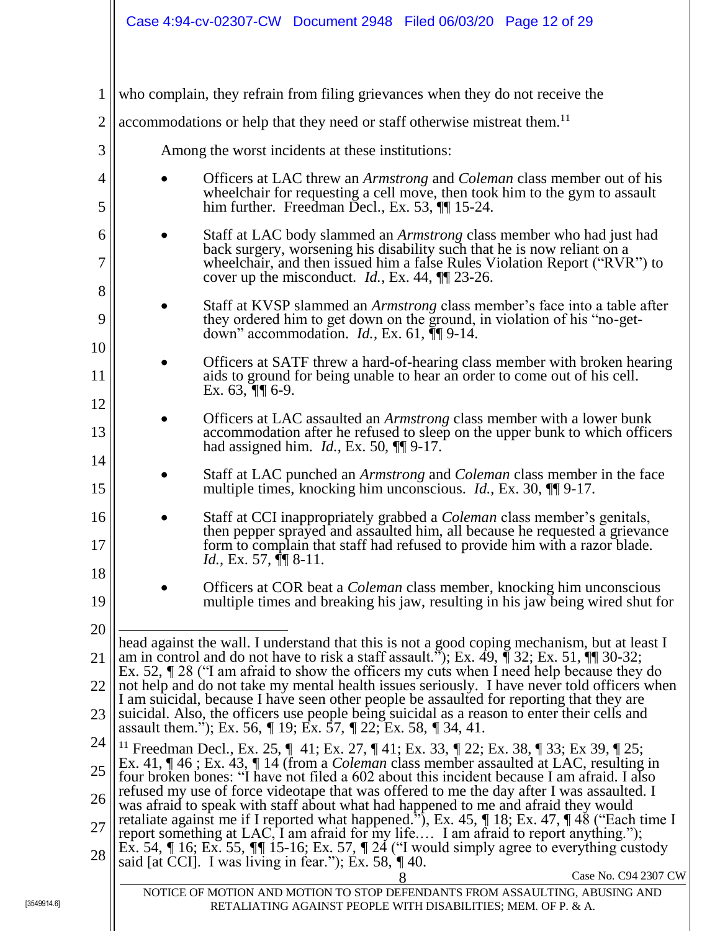| $\mathbf{1}$<br>who complain, they refrain from filing grievances when they do not receive the<br>$\overline{2}$<br>accommodations or help that they need or staff otherwise mistreat them. <sup>11</sup><br>3<br>Among the worst incidents at these institutions:<br>4<br>5<br>him further. Freedman Decl., Ex. 53, $\P$ 15-24.<br>6<br>back surgery, worsening his disability such that he is now reliant on a<br>7<br>cover up the misconduct. <i>Id.</i> , Ex. 44, $\P$ 23-26.<br>8<br>9<br>they ordered him to get down on the ground, in violation of his "no-get-<br>down" accommodation. $Id.$ , Ex. 61, $\P\P$ 9-14.<br>10<br>11<br>aids to ground for being unable to hear an order to come out of his cell.<br>Ex. $63, \sqrt{9}$ 6-9.<br>12<br>13<br>had assigned him. $Id.$ , Ex. 50, $\P\P$ 9-17.<br>14<br>15<br>multiple times, knocking him unconscious. <i>Id.</i> , Ex. 30, $\P$ 9-17.<br>16<br>17<br><i>Id.</i> , Ex. 57, $\P$ 8-11.<br>18<br>19<br>20<br>head against the wall. I understand that this is not a good coping mechanism, but at least I<br>am in control and do not have to risk a staff assault."); Ex. 49, $\int$ 32; Ex. 51, $\int$ 30-32;<br>21<br>Ex. 52, $\sqrt{T}$ 28 ("I am afraid to show the officers my cuts when I need help because they do<br>not help and do not take my mental health issues seriously. I have never told officers when<br>22<br>I am suicidal, because I have seen other people be assaulted for reporting that they are<br>23<br>suicidal. Also, the officers use people being suicidal as a reason to enter their cells and<br>assault them."); Ex. 56, $\sqrt{ }$ 19; Ex. 57, $\sqrt{ }$ 22; Ex. 58, $\sqrt{ }$ 34, 41.<br>24<br><sup>11</sup> Freedman Decl., Ex. 25, $\parallel$ 41; Ex. 27, $\parallel$ 41; Ex. 33, $\parallel$ 22; Ex. 38, $\parallel$ 33; Ex 39, $\parallel$ 25;<br>Ex. 41, $\P$ 46; Ex. 43, $\P$ 14 (from a <i>Coleman</i> class member assaulted at LAC, resulting in<br>25<br>four broken bones: "I have not filed a 602 about this incident because I am afraid. I also<br>refused my use of force videotape that was offered to me the day after I was assaulted. I<br>26<br>was afraid to speak with staff about what had happened to me and afraid they would<br>retaliate against me if I reported what happened.", Ex. 45, $\eta$ 18; Ex. 47, $\P$ 48 ("Each time I<br>27<br>report something at LAC, I am afraid for my life I am afraid to report anything.");<br>Ex. 54, $\eta$ 16; Ex. 55, $\eta$ 15-16; Ex. 57, $\eta$ 24 ("I would simply agree to everything custody<br>28<br>said [at CCI]. I was living in fear."); Ex. 58, $\sqrt{T}$ 40.<br>NOTICE OF MOTION AND MOTION TO STOP DEFENDANTS FROM ASSAULTING, ABUSING AND<br>RETALIATING AGAINST PEOPLE WITH DISABILITIES; MEM. OF P. & A. |  |                                                                                                                                                                                                                                             |
|---------------------------------------------------------------------------------------------------------------------------------------------------------------------------------------------------------------------------------------------------------------------------------------------------------------------------------------------------------------------------------------------------------------------------------------------------------------------------------------------------------------------------------------------------------------------------------------------------------------------------------------------------------------------------------------------------------------------------------------------------------------------------------------------------------------------------------------------------------------------------------------------------------------------------------------------------------------------------------------------------------------------------------------------------------------------------------------------------------------------------------------------------------------------------------------------------------------------------------------------------------------------------------------------------------------------------------------------------------------------------------------------------------------------------------------------------------------------------------------------------------------------------------------------------------------------------------------------------------------------------------------------------------------------------------------------------------------------------------------------------------------------------------------------------------------------------------------------------------------------------------------------------------------------------------------------------------------------------------------------------------------------------------------------------------------------------------------------------------------------------------------------------------------------------------------------------------------------------------------------------------------------------------------------------------------------------------------------------------------------------------------------------------------------------------------------------------------------------------------------------------------------------------------------------------------------------------------------------------------------------------------------------------------------------------------------------------------------------------------------------------------------------------------------------------|--|---------------------------------------------------------------------------------------------------------------------------------------------------------------------------------------------------------------------------------------------|
|                                                                                                                                                                                                                                                                                                                                                                                                                                                                                                                                                                                                                                                                                                                                                                                                                                                                                                                                                                                                                                                                                                                                                                                                                                                                                                                                                                                                                                                                                                                                                                                                                                                                                                                                                                                                                                                                                                                                                                                                                                                                                                                                                                                                                                                                                                                                                                                                                                                                                                                                                                                                                                                                                                                                                                                                         |  |                                                                                                                                                                                                                                             |
|                                                                                                                                                                                                                                                                                                                                                                                                                                                                                                                                                                                                                                                                                                                                                                                                                                                                                                                                                                                                                                                                                                                                                                                                                                                                                                                                                                                                                                                                                                                                                                                                                                                                                                                                                                                                                                                                                                                                                                                                                                                                                                                                                                                                                                                                                                                                                                                                                                                                                                                                                                                                                                                                                                                                                                                                         |  |                                                                                                                                                                                                                                             |
|                                                                                                                                                                                                                                                                                                                                                                                                                                                                                                                                                                                                                                                                                                                                                                                                                                                                                                                                                                                                                                                                                                                                                                                                                                                                                                                                                                                                                                                                                                                                                                                                                                                                                                                                                                                                                                                                                                                                                                                                                                                                                                                                                                                                                                                                                                                                                                                                                                                                                                                                                                                                                                                                                                                                                                                                         |  |                                                                                                                                                                                                                                             |
|                                                                                                                                                                                                                                                                                                                                                                                                                                                                                                                                                                                                                                                                                                                                                                                                                                                                                                                                                                                                                                                                                                                                                                                                                                                                                                                                                                                                                                                                                                                                                                                                                                                                                                                                                                                                                                                                                                                                                                                                                                                                                                                                                                                                                                                                                                                                                                                                                                                                                                                                                                                                                                                                                                                                                                                                         |  | Officers at LAC threw an <i>Armstrong</i> and <i>Coleman</i> class member out of his<br>wheelchair for requesting a cell move, then took him to the gym to assault                                                                          |
|                                                                                                                                                                                                                                                                                                                                                                                                                                                                                                                                                                                                                                                                                                                                                                                                                                                                                                                                                                                                                                                                                                                                                                                                                                                                                                                                                                                                                                                                                                                                                                                                                                                                                                                                                                                                                                                                                                                                                                                                                                                                                                                                                                                                                                                                                                                                                                                                                                                                                                                                                                                                                                                                                                                                                                                                         |  | Staff at LAC body slammed an <i>Armstrong</i> class member who had just had<br>wheelchair, and then issued him a false Rules Violation Report ("RVR") to                                                                                    |
|                                                                                                                                                                                                                                                                                                                                                                                                                                                                                                                                                                                                                                                                                                                                                                                                                                                                                                                                                                                                                                                                                                                                                                                                                                                                                                                                                                                                                                                                                                                                                                                                                                                                                                                                                                                                                                                                                                                                                                                                                                                                                                                                                                                                                                                                                                                                                                                                                                                                                                                                                                                                                                                                                                                                                                                                         |  | Staff at KVSP slammed an <i>Armstrong</i> class member's face into a table after                                                                                                                                                            |
|                                                                                                                                                                                                                                                                                                                                                                                                                                                                                                                                                                                                                                                                                                                                                                                                                                                                                                                                                                                                                                                                                                                                                                                                                                                                                                                                                                                                                                                                                                                                                                                                                                                                                                                                                                                                                                                                                                                                                                                                                                                                                                                                                                                                                                                                                                                                                                                                                                                                                                                                                                                                                                                                                                                                                                                                         |  | Officers at SATF threw a hard-of-hearing class member with broken hearing                                                                                                                                                                   |
|                                                                                                                                                                                                                                                                                                                                                                                                                                                                                                                                                                                                                                                                                                                                                                                                                                                                                                                                                                                                                                                                                                                                                                                                                                                                                                                                                                                                                                                                                                                                                                                                                                                                                                                                                                                                                                                                                                                                                                                                                                                                                                                                                                                                                                                                                                                                                                                                                                                                                                                                                                                                                                                                                                                                                                                                         |  | Officers at LAC assaulted an Armstrong class member with a lower bunk<br>accommodation after he refused to sleep on the upper bunk to which officers                                                                                        |
|                                                                                                                                                                                                                                                                                                                                                                                                                                                                                                                                                                                                                                                                                                                                                                                                                                                                                                                                                                                                                                                                                                                                                                                                                                                                                                                                                                                                                                                                                                                                                                                                                                                                                                                                                                                                                                                                                                                                                                                                                                                                                                                                                                                                                                                                                                                                                                                                                                                                                                                                                                                                                                                                                                                                                                                                         |  | Staff at LAC punched an <i>Armstrong</i> and <i>Coleman</i> class member in the face                                                                                                                                                        |
|                                                                                                                                                                                                                                                                                                                                                                                                                                                                                                                                                                                                                                                                                                                                                                                                                                                                                                                                                                                                                                                                                                                                                                                                                                                                                                                                                                                                                                                                                                                                                                                                                                                                                                                                                                                                                                                                                                                                                                                                                                                                                                                                                                                                                                                                                                                                                                                                                                                                                                                                                                                                                                                                                                                                                                                                         |  | Staff at CCI inappropriately grabbed a <i>Coleman</i> class member's genitals,<br>then pepper sprayed and assaulted him, all because he requested a grievance<br>form to complain that staff had refused to provide him with a razor blade. |
|                                                                                                                                                                                                                                                                                                                                                                                                                                                                                                                                                                                                                                                                                                                                                                                                                                                                                                                                                                                                                                                                                                                                                                                                                                                                                                                                                                                                                                                                                                                                                                                                                                                                                                                                                                                                                                                                                                                                                                                                                                                                                                                                                                                                                                                                                                                                                                                                                                                                                                                                                                                                                                                                                                                                                                                                         |  | Officers at COR beat a Coleman class member, knocking him unconscious<br>multiple times and breaking his jaw, resulting in his jaw being wired shut for                                                                                     |
|                                                                                                                                                                                                                                                                                                                                                                                                                                                                                                                                                                                                                                                                                                                                                                                                                                                                                                                                                                                                                                                                                                                                                                                                                                                                                                                                                                                                                                                                                                                                                                                                                                                                                                                                                                                                                                                                                                                                                                                                                                                                                                                                                                                                                                                                                                                                                                                                                                                                                                                                                                                                                                                                                                                                                                                                         |  |                                                                                                                                                                                                                                             |
|                                                                                                                                                                                                                                                                                                                                                                                                                                                                                                                                                                                                                                                                                                                                                                                                                                                                                                                                                                                                                                                                                                                                                                                                                                                                                                                                                                                                                                                                                                                                                                                                                                                                                                                                                                                                                                                                                                                                                                                                                                                                                                                                                                                                                                                                                                                                                                                                                                                                                                                                                                                                                                                                                                                                                                                                         |  | Case No. C94 2307 CW                                                                                                                                                                                                                        |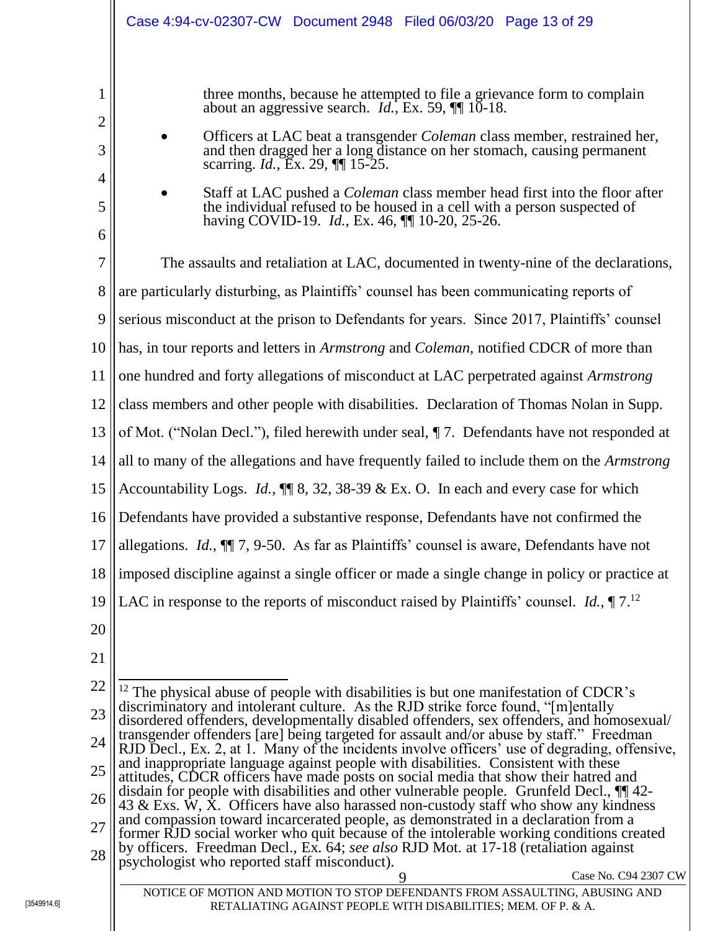|                       | Case 4:94-cv-02307-CW  Document 2948  Filed 06/03/20  Page 13 of 29                                                                                                                                                                                                                                                                                                                                                                                                                                                                                                                   |
|-----------------------|---------------------------------------------------------------------------------------------------------------------------------------------------------------------------------------------------------------------------------------------------------------------------------------------------------------------------------------------------------------------------------------------------------------------------------------------------------------------------------------------------------------------------------------------------------------------------------------|
| 1<br>2<br>3<br>4<br>5 | three months, because he attempted to file a grievance form to complain<br>about an aggressive search. $Id$ , Ex. 59, $\P$ 10-18.<br>Officers at LAC beat a transgender <i>Coleman</i> class member, restrained her,<br>and then dragged her a long distance on her stomach, causing permanent<br>scarring. <i>Id.</i> , Ex. 29, <b>[16</b> 15-25.<br>Staff at LAC pushed a <i>Coleman</i> class member head first into the floor after<br>the individual refused to be housed in a cell with a person suspected of<br>having COVID-19. <i>Id.</i> , Ex. 46, <b>[1]</b> 10-20, 25-26. |
| 6<br>7                | The assaults and retaliation at LAC, documented in twenty-nine of the declarations,                                                                                                                                                                                                                                                                                                                                                                                                                                                                                                   |
| 8                     | are particularly disturbing, as Plaintiffs' counsel has been communicating reports of                                                                                                                                                                                                                                                                                                                                                                                                                                                                                                 |
| 9                     | serious misconduct at the prison to Defendants for years. Since 2017, Plaintiffs' counsel                                                                                                                                                                                                                                                                                                                                                                                                                                                                                             |
| 10                    | has, in tour reports and letters in <i>Armstrong</i> and <i>Coleman</i> , notified CDCR of more than                                                                                                                                                                                                                                                                                                                                                                                                                                                                                  |
| 11                    | one hundred and forty allegations of misconduct at LAC perpetrated against Armstrong                                                                                                                                                                                                                                                                                                                                                                                                                                                                                                  |
| 12                    | class members and other people with disabilities. Declaration of Thomas Nolan in Supp.                                                                                                                                                                                                                                                                                                                                                                                                                                                                                                |
| 13                    | of Mot. ("Nolan Decl."), filed herewith under seal, $\P$ 7. Defendants have not responded at                                                                                                                                                                                                                                                                                                                                                                                                                                                                                          |
| 14                    | all to many of the allegations and have frequently failed to include them on the Armstrong                                                                                                                                                                                                                                                                                                                                                                                                                                                                                            |
| 15                    | Accountability Logs. <i>Id.</i> , $\P$ 8, 32, 38-39 & Ex. O. In each and every case for which                                                                                                                                                                                                                                                                                                                                                                                                                                                                                         |
|                       | 16 Defendants have provided a substantive response, Defendants have not confirmed the                                                                                                                                                                                                                                                                                                                                                                                                                                                                                                 |
| 17                    | allegations. Id., II 7, 9-50. As far as Plaintiffs' counsel is aware, Defendants have not                                                                                                                                                                                                                                                                                                                                                                                                                                                                                             |
| 18                    | imposed discipline against a single officer or made a single change in policy or practice at                                                                                                                                                                                                                                                                                                                                                                                                                                                                                          |
| 19                    | LAC in response to the reports of misconduct raised by Plaintiffs' counsel. <i>Id.</i> , $\P$ 7. <sup>12</sup>                                                                                                                                                                                                                                                                                                                                                                                                                                                                        |
| 20                    |                                                                                                                                                                                                                                                                                                                                                                                                                                                                                                                                                                                       |
| 21                    |                                                                                                                                                                                                                                                                                                                                                                                                                                                                                                                                                                                       |
| 22                    | <sup>12</sup> The physical abuse of people with disabilities is but one manifestation of CDCR's<br>discriminatory and intolerant culture. As the RJD strike force found, "[m]entally                                                                                                                                                                                                                                                                                                                                                                                                  |
| 23                    | disordered offenders, developmentally disabled offenders, sex offenders, and homosexual/<br>transgender offenders [are] being targeted for assault and/or abuse by staff." Freedman                                                                                                                                                                                                                                                                                                                                                                                                   |
| 24                    | RJD Decl., Ex. 2, at 1. Many of the incidents involve officers' use of degrading, offensive,<br>and inappropriate language against people with disabilities. Consistent with these                                                                                                                                                                                                                                                                                                                                                                                                    |
| 25                    | attitudes, CDCR officers have made posts on social media that show their hatred and<br>disdain for people with disabilities and other vulnerable people. Grunfeld Decl., $\P$ 42-                                                                                                                                                                                                                                                                                                                                                                                                     |
| 26                    | 43 & Exs. W, X. Officers have also harassed non-custody staff who show any kindness<br>and compassion toward incarcerated people, as demonstrated in a declaration from a                                                                                                                                                                                                                                                                                                                                                                                                             |
| 27<br>28              | former RJD social worker who quit because of the intolerable working conditions created<br>by officers. Freedman Decl., Ex. 64; see also RJD Mot. at 17-18 (retaliation against<br>psychologist who reported staff misconduct).                                                                                                                                                                                                                                                                                                                                                       |
|                       | Case No. C94 2307 CW<br>9<br>NOTICE OF MOTION AND MOTION TO STOP DEFENDANTS FROM ASSAULTING, ABUSING AND                                                                                                                                                                                                                                                                                                                                                                                                                                                                              |
|                       | RETALIATING AGAINST PEOPLE WITH DISABILITIES; MEM. OF P. & A.                                                                                                                                                                                                                                                                                                                                                                                                                                                                                                                         |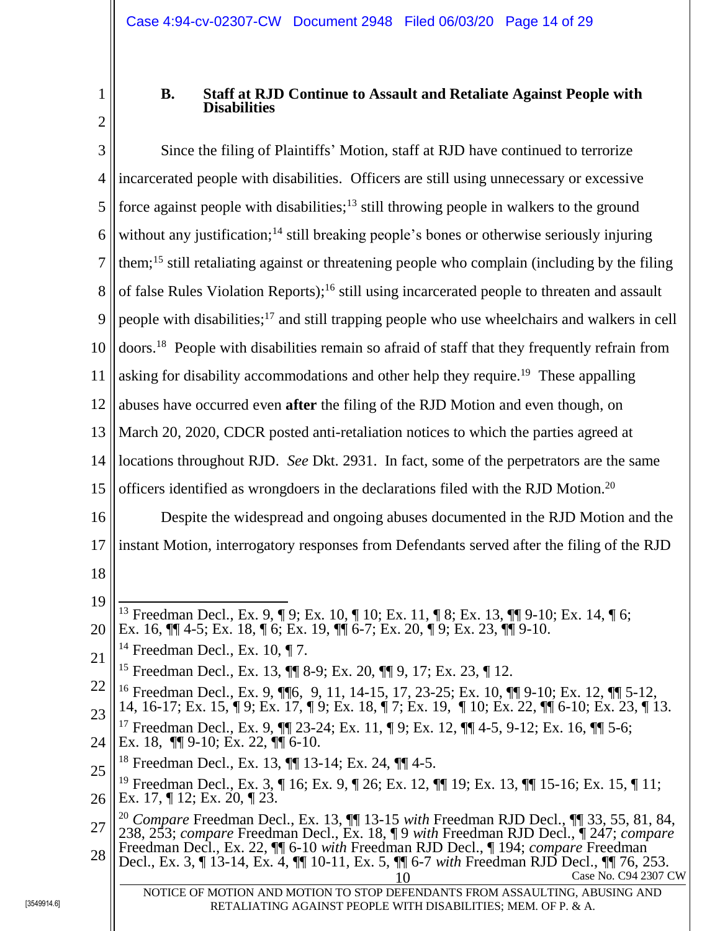<span id="page-13-0"></span>1 2

# **B. Staff at RJD Continue to Assault and Retaliate Against People with Disabilities**

3 4 5 6 7 8 9 10 11 12 13 14 15 16 17 18 19 20 21 22 23 24 25 26 27 28 Case No. C94 2307 CW Since the filing of Plaintiffs' Motion, staff at RJD have continued to terrorize incarcerated people with disabilities. Officers are still using unnecessary or excessive force against people with disabilities;<sup>13</sup> still throwing people in walkers to the ground without any justification;<sup>14</sup> still breaking people's bones or otherwise seriously injuring them; <sup>15</sup> still retaliating against or threatening people who complain (including by the filing of false Rules Violation Reports);<sup>16</sup> still using incarcerated people to threaten and assault people with disabilities;<sup>17</sup> and still trapping people who use wheelchairs and walkers in cell doors.<sup>18</sup> People with disabilities remain so afraid of staff that they frequently refrain from asking for disability accommodations and other help they require.<sup>19</sup> These appalling abuses have occurred even **after** the filing of the RJD Motion and even though, on March 20, 2020, CDCR posted anti-retaliation notices to which the parties agreed at locations throughout RJD. *See* Dkt. 2931. In fact, some of the perpetrators are the same officers identified as wrongdoers in the declarations filed with the RJD Motion.<sup>20</sup> Despite the widespread and ongoing abuses documented in the RJD Motion and the instant Motion, interrogatory responses from Defendants served after the filing of the RJD  $\overline{a}$ <sup>13</sup> Freedman Decl., Ex. 9, ¶ 9; Ex. 10, ¶ 10; Ex. 11, ¶ 8; Ex. 13, ¶¶ 9-10; Ex. 14, ¶ 6; Ex. 16, ¶¶ 4-5; Ex. 18, ¶ 6; Ex. 19, ¶¶ 6-7; Ex. 20, ¶ 9; Ex. 23, ¶¶ 9-10. <sup>14</sup> Freedman Decl., Ex. 10,  $\P$  7. <sup>15</sup> Freedman Decl., Ex. 13, ¶¶ 8-9; Ex. 20, ¶¶ 9, 17; Ex. 23, ¶ 12. <sup>16</sup> Freedman Decl., Ex. 9, ¶¶6, 9, 11, 14-15, 17, 23-25; Ex. 10, ¶¶ 9-10; Ex. 12, ¶¶ 5-12, 14, 16-17; Ex. 15, ¶ 9; Ex. 17, ¶ 9; Ex. 18, ¶ 7; Ex. 19, ¶ 10; Ex. 22, ¶¶ 6-10; Ex. 23, ¶ 13. <sup>17</sup> Freedman Decl., Ex. 9, ¶¶ 23-24; Ex. 11, ¶ 9; Ex. 12, ¶¶ 4-5, 9-12; Ex. 16, ¶¶ 5-6; Ex. 18,  $\P\P$  9-10; Ex. 22,  $\P\P$  6-10. <sup>18</sup> Freedman Decl., Ex. 13, ¶¶ 13-14; Ex. 24, ¶¶ 4-5. <sup>19</sup> Freedman Decl., Ex. 3, ¶ 16; Ex. 9, ¶ 26; Ex. 12, ¶¶ 19; Ex. 13, ¶¶ 15-16; Ex. 15, ¶ 11; Ex. 17, ¶ 12; Ex. 20, ¶ 23. <sup>20</sup> *Compare* Freedman Decl., Ex. 13, ¶¶ 13-15 *with* Freedman RJD Decl., ¶¶ 33, 55, 81, 84, 238, 253; *compare* Freedman Decl., Ex. 18, ¶ 9 *with* Freedman RJD Decl., ¶ 247; *compare*  Freedman Decl., Ex. 22, ¶¶ 6-10 *with* Freedman RJD Decl., ¶ 194; *compare* Freedman Decl., Ex. 3, ¶ 13-14, Ex. 4, ¶¶ 10-11, Ex. 5, ¶¶ 6-7 *with* Freedman RJD Decl., ¶¶ 76, 253.

NOTICE OF MOTION AND MOTION TO STOP DEFENDANTS FROM ASSAULTING, ABUSING AND RETALIATING AGAINST PEOPLE WITH DISABILITIES; MEM. OF P. & A.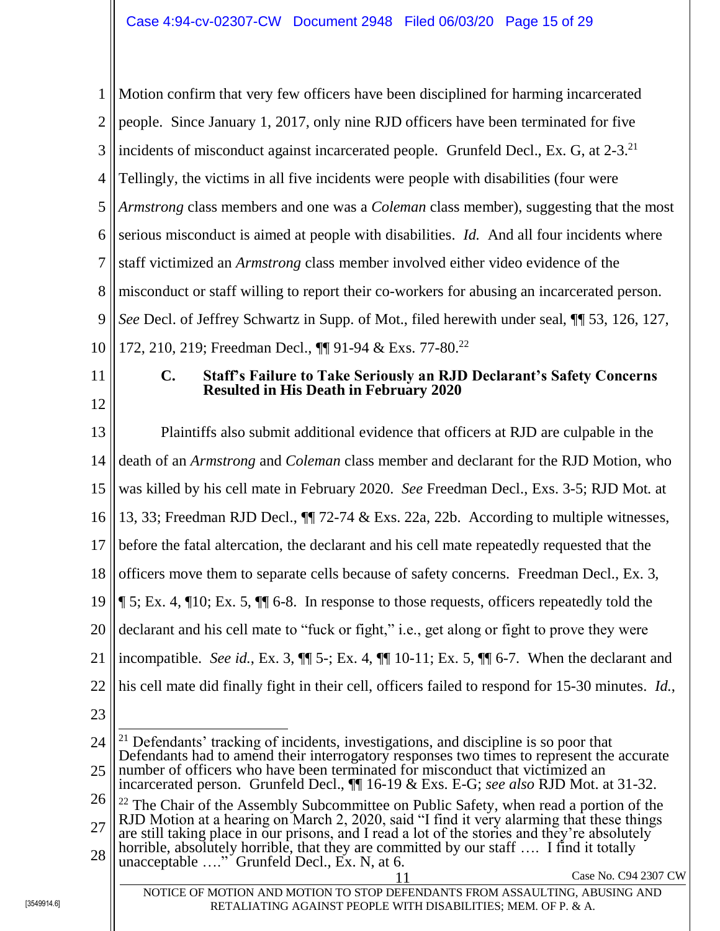<span id="page-14-0"></span>1 2 3 4 5 6 7 8 9 10 11 12 13 14 15 16 17 18 19 20 21 22 23 24 25 26 27 Motion confirm that very few officers have been disciplined for harming incarcerated people. Since January 1, 2017, only nine RJD officers have been terminated for five incidents of misconduct against incarcerated people. Grunfeld Decl., Ex. G, at 2-3.<sup>21</sup> Tellingly, the victims in all five incidents were people with disabilities (four were *Armstrong* class members and one was a *Coleman* class member), suggesting that the most serious misconduct is aimed at people with disabilities. *Id.* And all four incidents where staff victimized an *Armstrong* class member involved either video evidence of the misconduct or staff willing to report their co-workers for abusing an incarcerated person. *See* Decl. of Jeffrey Schwartz in Supp. of Mot., filed herewith under seal, ¶¶ 53, 126, 127, 172, 210, 219; Freedman Decl., <sup>[1]</sup> 91-94 & Exs. 77-80.<sup>22</sup> **C. Staff's Failure to Take Seriously an RJD Declarant's Safety Concerns Resulted in His Death in February 2020** Plaintiffs also submit additional evidence that officers at RJD are culpable in the death of an *Armstrong* and *Coleman* class member and declarant for the RJD Motion, who was killed by his cell mate in February 2020. *See* Freedman Decl., Exs. 3-5; RJD Mot. at 13, 33; Freedman RJD Decl., ¶¶ 72-74 & Exs. 22a, 22b. According to multiple witnesses, before the fatal altercation, the declarant and his cell mate repeatedly requested that the officers move them to separate cells because of safety concerns. Freedman Decl., Ex. 3, ¶ 5; Ex. 4, ¶10; Ex. 5, ¶¶ 6-8. In response to those requests, officers repeatedly told the declarant and his cell mate to "fuck or fight," i.e., get along or fight to prove they were incompatible. *See id.*, Ex. 3, ¶¶ 5-; Ex. 4, ¶¶ 10-11; Ex. 5, ¶¶ 6-7. When the declarant and his cell mate did finally fight in their cell, officers failed to respond for 15-30 minutes. *Id.*,  $\overline{a}$ <sup>21</sup> Defendants' tracking of incidents, investigations, and discipline is so poor that Defendants had to amend their interrogatory responses two times to represent the accurate number of officers who have been terminated for misconduct that victimized an incarcerated person. Grunfeld Decl., ¶¶ 16-19 & Exs. E-G; *see also* RJD Mot. at 31-32. <sup>22</sup> The Chair of the Assembly Subcommittee on Public Safety, when read a portion of the RJD Motion at a hearing on March 2, 2020, said "I find it very alarming that these things are still taking place in our prisons, and I read a lot of the stories and they're absolutely

28 horrible, absolutely horrible, that they are committed by our staff .... I find it totally unacceptable …." Grunfeld Decl., Ex. N, at 6.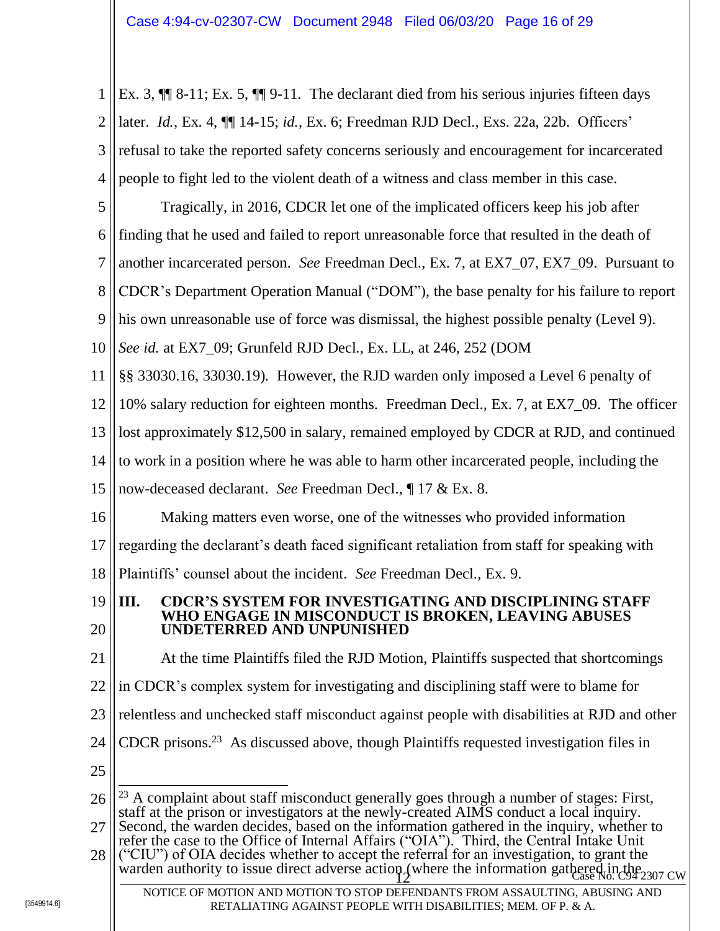1 2 3 4 Ex. 3, ¶¶ 8-11; Ex. 5, ¶¶ 9-11. The declarant died from his serious injuries fifteen days later. *Id.*, Ex. 4, ¶¶ 14-15; *id.*, Ex. 6; Freedman RJD Decl., Exs. 22a, 22b. Officers' refusal to take the reported safety concerns seriously and encouragement for incarcerated people to fight led to the violent death of a witness and class member in this case.

5 Tragically, in 2016, CDCR let one of the implicated officers keep his job after

6 finding that he used and failed to report unreasonable force that resulted in the death of

7 another incarcerated person. *See* Freedman Decl., Ex. 7, at EX7\_07, EX7\_09. Pursuant to

8 CDCR's Department Operation Manual ("DOM"), the base penalty for his failure to report

9 his own unreasonable use of force was dismissal, the highest possible penalty (Level 9).

10 *See id.* at EX7\_09; Grunfeld RJD Decl., Ex. LL, at 246, 252 (DOM

11 §§ 33030.16, 33030.19)*.* However, the RJD warden only imposed a Level 6 penalty of

12 10% salary reduction for eighteen months. Freedman Decl., Ex. 7, at EX7\_09. The officer

13 lost approximately \$12,500 in salary, remained employed by CDCR at RJD, and continued

14 to work in a position where he was able to harm other incarcerated people, including the

15 now-deceased declarant. *See* Freedman Decl., ¶ 17 & Ex. 8.

16 Making matters even worse, one of the witnesses who provided information

17 regarding the declarant's death faced significant retaliation from staff for speaking with

18 Plaintiffs' counsel about the incident. *See* Freedman Decl., Ex. 9.

#### <span id="page-15-0"></span>19 20 **III. CDCR'S SYSTEM FOR INVESTIGATING AND DISCIPLINING STAFF WHO ENGAGE IN MISCONDUCT IS BROKEN, LEAVING ABUSES UNDETERRED AND UNPUNISHED**

21 22 23 24 25 26 27 28 warden authority to issue direct adverse action (where the information gathered in the  $2307 \text{ cw}$ NOTICE OF MOTION AND MOTION TO STOP DEFENDANTS FROM ASSAULTING, ABUSING AND At the time Plaintiffs filed the RJD Motion, Plaintiffs suspected that shortcomings in CDCR's complex system for investigating and disciplining staff were to blame for relentless and unchecked staff misconduct against people with disabilities at RJD and other CDCR prisons.<sup>23</sup> As discussed above, though Plaintiffs requested investigation files in  $\overline{a}$  $23$  A complaint about staff misconduct generally goes through a number of stages: First, staff at the prison or investigators at the newly-created AIMS conduct a local inquiry. Second, the warden decides, based on the information gathered in the inquiry, whether to refer the case to the Office of Internal Affairs ("OIA"). Third, the Central Intake Unit ("CIU") of OIA decides whether to accept the referral for an investigation, to grant the

RETALIATING AGAINST PEOPLE WITH DISABILITIES; MEM. OF P. & A.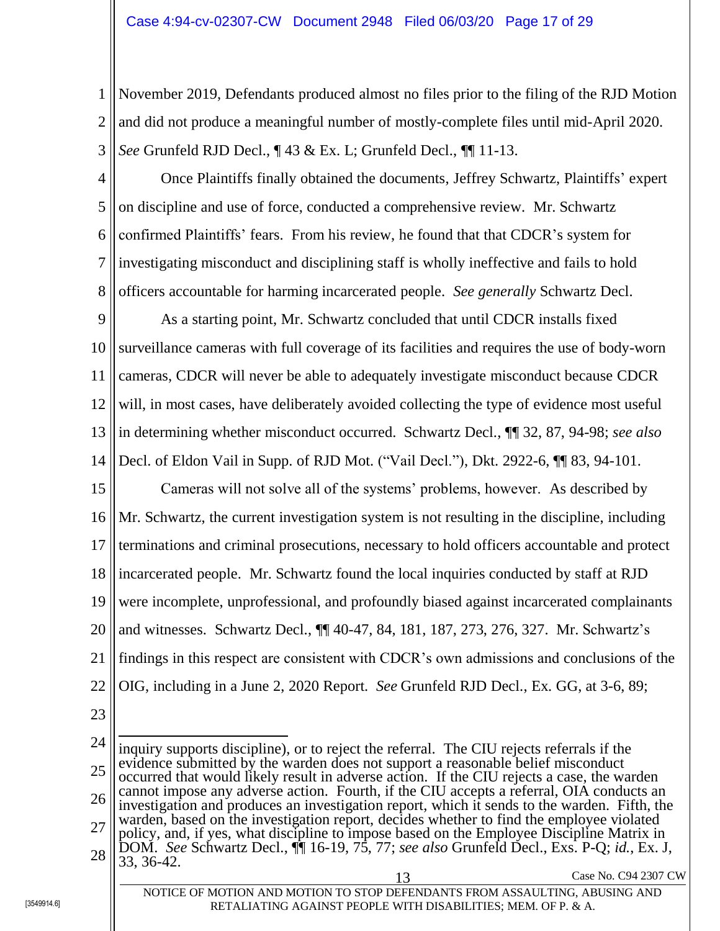1 2 November 2019, Defendants produced almost no files prior to the filing of the RJD Motion and did not produce a meaningful number of mostly-complete files until mid-April 2020. *See* Grunfeld RJD Decl., ¶ 43 & Ex. L; Grunfeld Decl., ¶¶ 11-13.

3

5

4 6 7 8 Once Plaintiffs finally obtained the documents, Jeffrey Schwartz, Plaintiffs' expert on discipline and use of force, conducted a comprehensive review. Mr. Schwartz confirmed Plaintiffs' fears. From his review, he found that that CDCR's system for investigating misconduct and disciplining staff is wholly ineffective and fails to hold officers accountable for harming incarcerated people. *See generally* Schwartz Decl.

9 10 11 12 13 14 As a starting point, Mr. Schwartz concluded that until CDCR installs fixed surveillance cameras with full coverage of its facilities and requires the use of body-worn cameras, CDCR will never be able to adequately investigate misconduct because CDCR will, in most cases, have deliberately avoided collecting the type of evidence most useful in determining whether misconduct occurred. Schwartz Decl., ¶¶ 32, 87, 94-98; *see also* Decl. of Eldon Vail in Supp. of RJD Mot. ("Vail Decl."), Dkt. 2922-6, ¶¶ 83, 94-101.

15 16 17 18 19 20 21 22 Cameras will not solve all of the systems' problems, however. As described by Mr. Schwartz, the current investigation system is not resulting in the discipline, including terminations and criminal prosecutions, necessary to hold officers accountable and protect incarcerated people. Mr. Schwartz found the local inquiries conducted by staff at RJD were incomplete, unprofessional, and profoundly biased against incarcerated complainants and witnesses. Schwartz Decl., ¶¶ 40-47, 84, 181, 187, 273, 276, 327. Mr. Schwartz's findings in this respect are consistent with CDCR's own admissions and conclusions of the OIG, including in a June 2, 2020 Report. *See* Grunfeld RJD Decl., Ex. GG, at 3-6, 89;

23

24 25 26 27 28 13 Case No. C94 2307 CW  $\overline{a}$ inquiry supports discipline), or to reject the referral. The CIU rejects referrals if the evidence submitted by the warden does not support a reasonable belief misconduct occurred that would likely result in adverse action. If the CIU rejects a case, the warden cannot impose any adverse action. Fourth, if the CIU accepts a referral, OIA conducts an investigation and produces an investigation report, which it sends to the warden. Fifth, the warden, based on the investigation report, decides whether to find the employee violated policy, and, if yes, what discipline to impose based on the Employee Discipline Matrix in DOM. *See* Schwartz Decl., ¶¶ 16-19, 75, 77; *see also* Grunfeld Decl., Exs. P-Q; *id.*, Ex. J, 33, 36-42.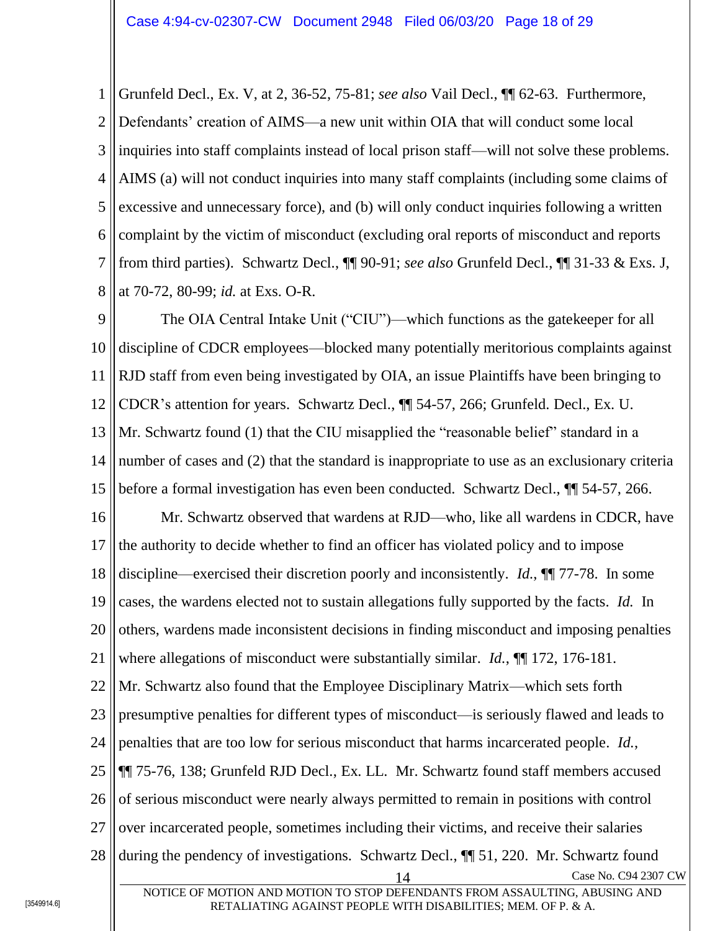1 2 3 4 5 6 7 8 Grunfeld Decl., Ex. V, at 2, 36-52, 75-81; *see also* Vail Decl., ¶¶ 62-63. Furthermore, Defendants' creation of AIMS—a new unit within OIA that will conduct some local inquiries into staff complaints instead of local prison staff—will not solve these problems. AIMS (a) will not conduct inquiries into many staff complaints (including some claims of excessive and unnecessary force), and (b) will only conduct inquiries following a written complaint by the victim of misconduct (excluding oral reports of misconduct and reports from third parties). Schwartz Decl., ¶¶ 90-91; *see also* Grunfeld Decl., ¶¶ 31-33 & Exs. J, at 70-72, 80-99; *id.* at Exs. O-R.

9 10 11 12 13 14 15 The OIA Central Intake Unit ("CIU")—which functions as the gatekeeper for all discipline of CDCR employees—blocked many potentially meritorious complaints against RJD staff from even being investigated by OIA, an issue Plaintiffs have been bringing to CDCR's attention for years. Schwartz Decl., ¶¶ 54-57, 266; Grunfeld. Decl., Ex. U. Mr. Schwartz found (1) that the CIU misapplied the "reasonable belief" standard in a number of cases and (2) that the standard is inappropriate to use as an exclusionary criteria before a formal investigation has even been conducted. Schwartz Decl., ¶¶ 54-57, 266.

16 17 18 19 20 21 22 Mr. Schwartz observed that wardens at RJD—who, like all wardens in CDCR, have the authority to decide whether to find an officer has violated policy and to impose discipline—exercised their discretion poorly and inconsistently. *Id.*, ¶¶ 77-78. In some cases, the wardens elected not to sustain allegations fully supported by the facts. *Id.* In others, wardens made inconsistent decisions in finding misconduct and imposing penalties where allegations of misconduct were substantially similar. *Id.*,  $\P$  172, 176-181. Mr. Schwartz also found that the Employee Disciplinary Matrix—which sets forth

23 24 presumptive penalties for different types of misconduct—is seriously flawed and leads to penalties that are too low for serious misconduct that harms incarcerated people. *Id.*,

25 ¶¶ 75-76, 138; Grunfeld RJD Decl., Ex. LL. Mr. Schwartz found staff members accused

26 of serious misconduct were nearly always permitted to remain in positions with control

- 27 over incarcerated people, sometimes including their victims, and receive their salaries
- 28 during the pendency of investigations. Schwartz Decl., ¶¶ 51, 220. Mr. Schwartz found

Case No. C94 2307 CW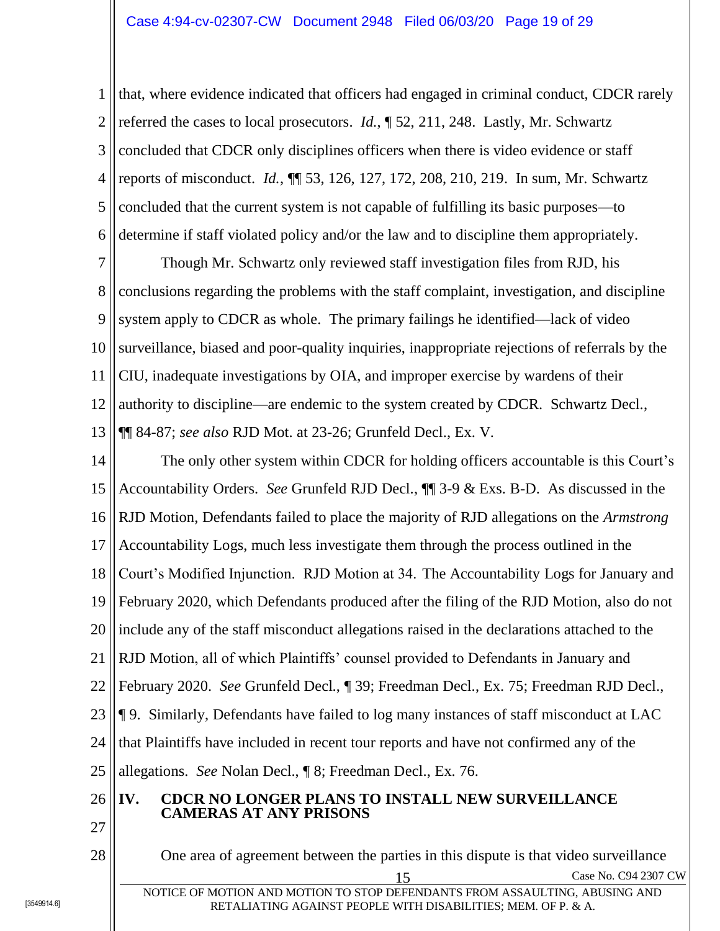1 2 3 4 5 6 that, where evidence indicated that officers had engaged in criminal conduct, CDCR rarely referred the cases to local prosecutors. *Id.*, ¶ 52, 211, 248. Lastly, Mr. Schwartz concluded that CDCR only disciplines officers when there is video evidence or staff reports of misconduct. *Id.*, ¶¶ 53, 126, 127, 172, 208, 210, 219. In sum, Mr. Schwartz concluded that the current system is not capable of fulfilling its basic purposes—to determine if staff violated policy and/or the law and to discipline them appropriately.

7 8 9 10 11 12 13 Though Mr. Schwartz only reviewed staff investigation files from RJD, his conclusions regarding the problems with the staff complaint, investigation, and discipline system apply to CDCR as whole. The primary failings he identified—lack of video surveillance, biased and poor-quality inquiries, inappropriate rejections of referrals by the CIU, inadequate investigations by OIA, and improper exercise by wardens of their authority to discipline—are endemic to the system created by CDCR. Schwartz Decl., ¶¶ 84-87; *see also* RJD Mot. at 23-26; Grunfeld Decl., Ex. V.

14 15 16 17 18 19 20 21 22 23 24 25 26 27 28 The only other system within CDCR for holding officers accountable is this Court's Accountability Orders. *See* Grunfeld RJD Decl., ¶¶ 3-9 & Exs. B-D. As discussed in the RJD Motion, Defendants failed to place the majority of RJD allegations on the *Armstrong* Accountability Logs, much less investigate them through the process outlined in the Court's Modified Injunction. RJD Motion at 34. The Accountability Logs for January and February 2020, which Defendants produced after the filing of the RJD Motion, also do not include any of the staff misconduct allegations raised in the declarations attached to the RJD Motion, all of which Plaintiffs' counsel provided to Defendants in January and February 2020. *See* Grunfeld Decl., ¶ 39; Freedman Decl., Ex. 75; Freedman RJD Decl., ¶ 9. Similarly, Defendants have failed to log many instances of staff misconduct at LAC that Plaintiffs have included in recent tour reports and have not confirmed any of the allegations. *See* Nolan Decl., ¶ 8; Freedman Decl., Ex. 76. **IV. CDCR NO LONGER PLANS TO INSTALL NEW SURVEILLANCE CAMERAS AT ANY PRISONS** One area of agreement between the parties in this dispute is that video surveillance

<span id="page-18-0"></span>15 Case No. C94 2307 CW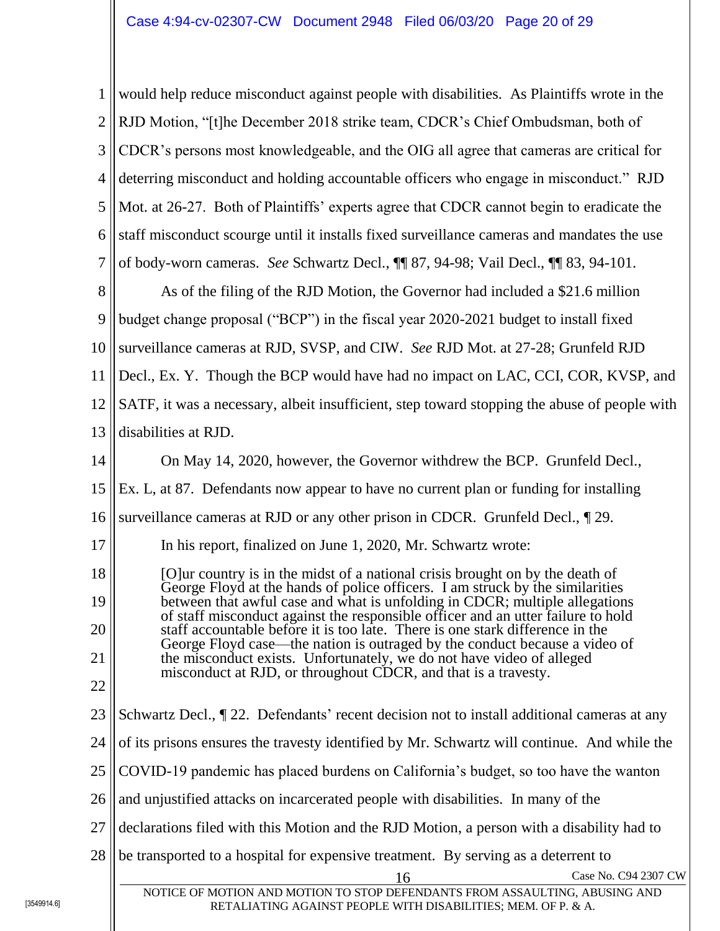1 2 3 4 5 6 7 8 9 10 11 12 13 14 15 16 17 18 19 20 21 22 23 24 25 26 27 28 Case No. C94 2307 CW NOTICE OF MOTION AND MOTION TO STOP DEFENDANTS FROM ASSAULTING, ABUSING AND RETALIATING AGAINST PEOPLE WITH DISABILITIES; MEM. OF P. & A. would help reduce misconduct against people with disabilities. As Plaintiffs wrote in the RJD Motion, "[t]he December 2018 strike team, CDCR's Chief Ombudsman, both of CDCR's persons most knowledgeable, and the OIG all agree that cameras are critical for deterring misconduct and holding accountable officers who engage in misconduct." RJD Mot. at 26-27. Both of Plaintiffs' experts agree that CDCR cannot begin to eradicate the staff misconduct scourge until it installs fixed surveillance cameras and mandates the use of body-worn cameras. *See* Schwartz Decl., ¶¶ 87, 94-98; Vail Decl., ¶¶ 83, 94-101. As of the filing of the RJD Motion, the Governor had included a \$21.6 million budget change proposal ("BCP") in the fiscal year 2020-2021 budget to install fixed surveillance cameras at RJD, SVSP, and CIW. *See* RJD Mot. at 27-28; Grunfeld RJD Decl., Ex. Y. Though the BCP would have had no impact on LAC, CCI, COR, KVSP, and SATF, it was a necessary, albeit insufficient, step toward stopping the abuse of people with disabilities at RJD. On May 14, 2020, however, the Governor withdrew the BCP. Grunfeld Decl., Ex. L, at 87. Defendants now appear to have no current plan or funding for installing surveillance cameras at RJD or any other prison in CDCR. Grunfeld Decl., ¶ 29. In his report, finalized on June 1, 2020, Mr. Schwartz wrote: [O]ur country is in the midst of a national crisis brought on by the death of George Floyd at the hands of police officers. I am struck by the similarities between that awful case and what is unfolding in CDCR; multiple allegations of staff misconduct against the responsible officer and an utter failure to hold staff accountable before it is too late. There is one stark difference in the George Floyd case—the nation is outraged by the conduct because a video of the misconduct exists. Unfortunately, we do not have video of alleged misconduct at RJD, or throughout CDCR, and that is a travesty. Schwartz Decl., ¶ 22. Defendants' recent decision not to install additional cameras at any of its prisons ensures the travesty identified by Mr. Schwartz will continue. And while the COVID-19 pandemic has placed burdens on California's budget, so too have the wanton and unjustified attacks on incarcerated people with disabilities. In many of the declarations filed with this Motion and the RJD Motion, a person with a disability had to be transported to a hospital for expensive treatment. By serving as a deterrent to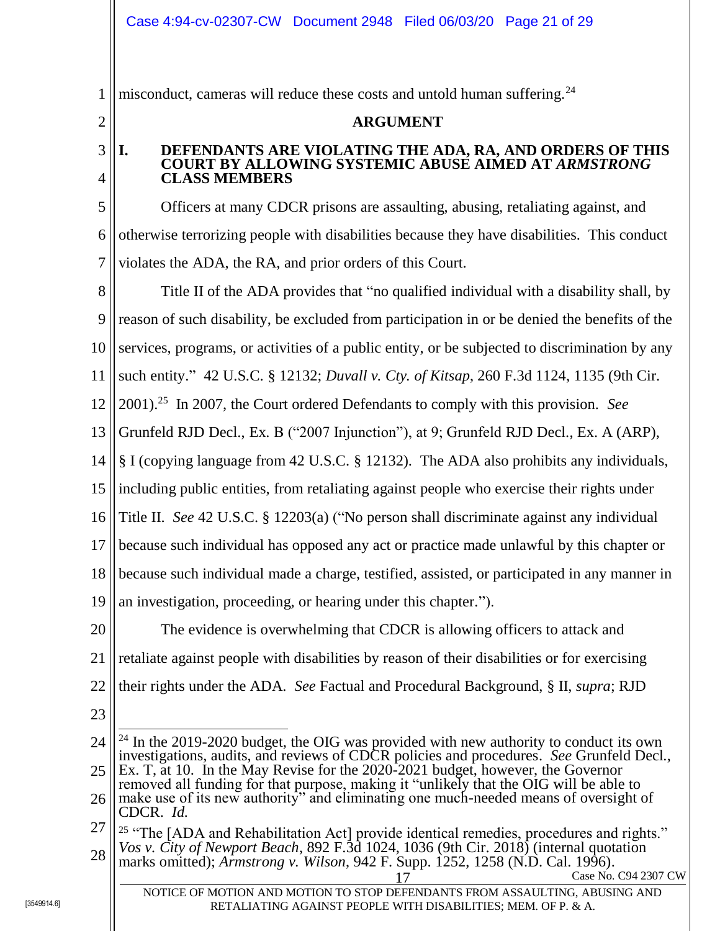1 misconduct, cameras will reduce these costs and untold human suffering.<sup>24</sup>

### **ARGUMENT**

### <span id="page-20-1"></span>**I. DEFENDANTS ARE VIOLATING THE ADA, RA, AND ORDERS OF THIS COURT BY ALLOWING SYSTEMIC ABUSE AIMED AT** *ARMSTRONG* **CLASS MEMBERS**

5 6 7 Officers at many CDCR prisons are assaulting, abusing, retaliating against, and otherwise terrorizing people with disabilities because they have disabilities. This conduct violates the ADA, the RA, and prior orders of this Court.

8 9 10 11 12 13 14 15 16 Title II of the ADA provides that "no qualified individual with a disability shall, by reason of such disability, be excluded from participation in or be denied the benefits of the services, programs, or activities of a public entity, or be subjected to discrimination by any such entity." 42 U.S.C. § 12132; *Duvall v. Cty. of Kitsap*, 260 F.3d 1124, 1135 (9th Cir. 2001). 25 In 2007, the Court ordered Defendants to comply with this provision. *See* Grunfeld RJD Decl., Ex. B ("2007 Injunction"), at 9; Grunfeld RJD Decl., Ex. A (ARP), § I (copying language from 42 U.S.C. § 12132). The ADA also prohibits any individuals, including public entities, from retaliating against people who exercise their rights under Title II. *See* 42 U.S.C. § 12203(a) ("No person shall discriminate against any individual

17 because such individual has opposed any act or practice made unlawful by this chapter or

18 because such individual made a charge, testified, assisted, or participated in any manner in

19 an investigation, proceeding, or hearing under this chapter.").

20 21 22 The evidence is overwhelming that CDCR is allowing officers to attack and retaliate against people with disabilities by reason of their disabilities or for exercising their rights under the ADA. *See* Factual and Procedural Background, § II, *supra*; RJD

23

<span id="page-20-0"></span>2

3

4

Case No. C94 2307 CW

NOTICE OF MOTION AND MOTION TO STOP DEFENDANTS FROM ASSAULTING, ABUSING AND RETALIATING AGAINST PEOPLE WITH DISABILITIES; MEM. OF P. & A.

<sup>24</sup> 25  $\overline{a}$  $24$  In the 2019-2020 budget, the OIG was provided with new authority to conduct its own investigations, audits, and reviews of CDCR policies and procedures. *See* Grunfeld Decl., Ex. T, at 10. In the May Revise for the 2020-2021 budget, however, the Governor

<sup>26</sup> removed all funding for that purpose, making it "unlikely that the OIG will be able to make use of its new authority" and eliminating one much-needed means of oversight of CDCR. *Id.*

<sup>27</sup> 28 <sup>25</sup> "The [ADA and Rehabilitation Act] provide identical remedies, procedures and rights." *Vos v. City of Newport Beach*, 892 F.3d 1024, 1036 (9th Cir. 2018) (internal quotation marks omitted); *Armstrong v. Wilson*, 942 F. Supp. 1252, 1258 (N.D. Cal. 1996).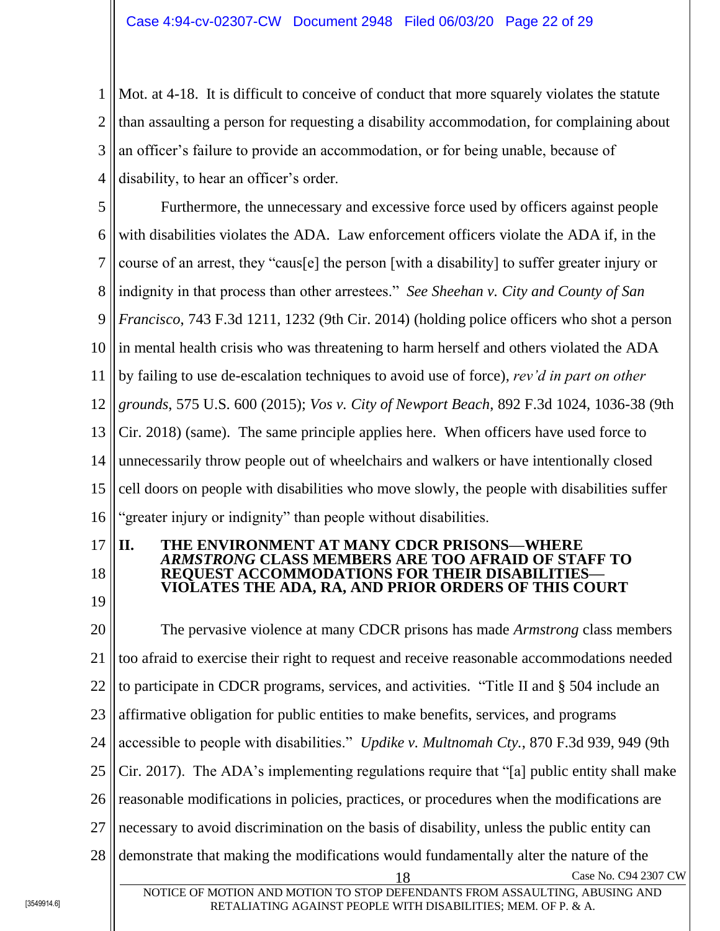1 2 3 4 Mot. at 4-18. It is difficult to conceive of conduct that more squarely violates the statute than assaulting a person for requesting a disability accommodation, for complaining about an officer's failure to provide an accommodation, or for being unable, because of disability, to hear an officer's order.

5 6 7 8 9 10 11 12 13 14 15 16 Furthermore, the unnecessary and excessive force used by officers against people with disabilities violates the ADA. Law enforcement officers violate the ADA if, in the course of an arrest, they "caus[e] the person [with a disability] to suffer greater injury or indignity in that process than other arrestees." *See Sheehan v. City and County of San Francisco*, 743 F.3d 1211, 1232 (9th Cir. 2014) (holding police officers who shot a person in mental health crisis who was threatening to harm herself and others violated the ADA by failing to use de-escalation techniques to avoid use of force), *rev'd in part on other grounds*, 575 U.S. 600 (2015); *Vos v. City of Newport Beach*, 892 F.3d 1024, 1036-38 (9th Cir. 2018) (same). The same principle applies here. When officers have used force to unnecessarily throw people out of wheelchairs and walkers or have intentionally closed cell doors on people with disabilities who move slowly, the people with disabilities suffer "greater injury or indignity" than people without disabilities.

17

18

#### <span id="page-21-0"></span>**II. THE ENVIRONMENT AT MANY CDCR PRISONS—WHERE**  *ARMSTRONG* **CLASS MEMBERS ARE TOO AFRAID OF STAFF TO REQUEST ACCOMMODATIONS FOR THEIR DISABILITIES— VIOLATES THE ADA, RA, AND PRIOR ORDERS OF THIS COURT**

19

20 21 22 23 24 25 26 27 28 Case No. C94 2307 CW The pervasive violence at many CDCR prisons has made *Armstrong* class members too afraid to exercise their right to request and receive reasonable accommodations needed to participate in CDCR programs, services, and activities. "Title II and § 504 include an affirmative obligation for public entities to make benefits, services, and programs accessible to people with disabilities." *Updike v. Multnomah Cty.*, 870 F.3d 939, 949 (9th Cir. 2017). The ADA's implementing regulations require that "[a] public entity shall make reasonable modifications in policies, practices, or procedures when the modifications are necessary to avoid discrimination on the basis of disability, unless the public entity can demonstrate that making the modifications would fundamentally alter the nature of the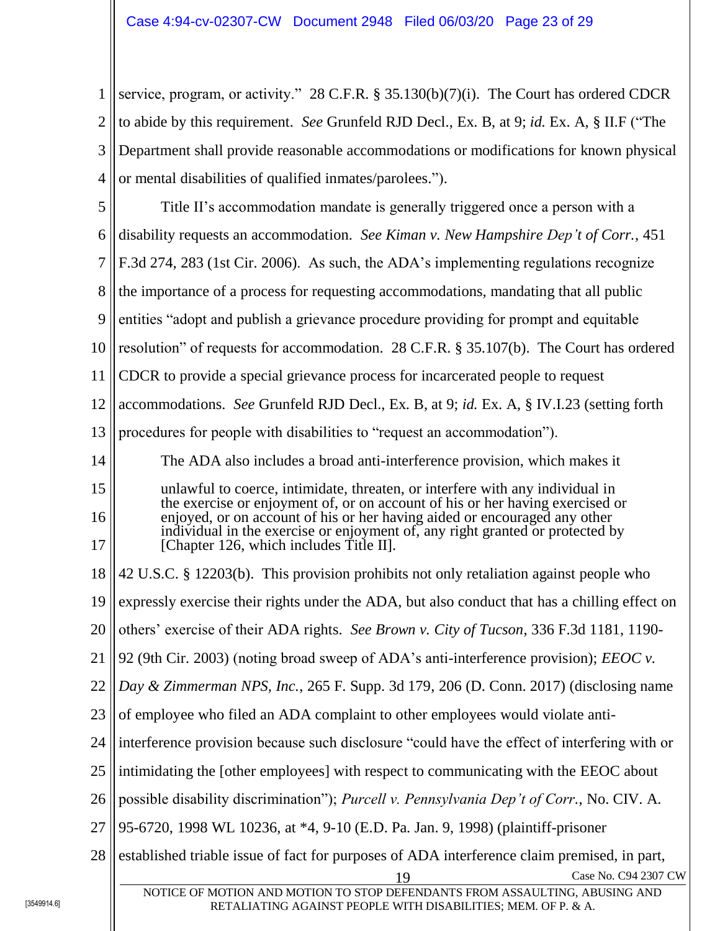1 2 3 4 service, program, or activity." 28 C.F.R. § 35.130(b)(7)(i). The Court has ordered CDCR to abide by this requirement. *See* Grunfeld RJD Decl., Ex. B, at 9; *id.* Ex. A, § II.F ("The Department shall provide reasonable accommodations or modifications for known physical or mental disabilities of qualified inmates/parolees.").

5 6 7 8 9 10 11 12 13 14 15 16 17 18 19 20 21 22 23 24 25 26 27 28 19 Case No. C94 2307 CW NOTICE OF MOTION AND MOTION TO STOP DEFENDANTS FROM ASSAULTING, ABUSING AND Title II's accommodation mandate is generally triggered once a person with a disability requests an accommodation. *See Kiman v. New Hampshire Dep't of Corr.*, 451 F.3d 274, 283 (1st Cir. 2006). As such, the ADA's implementing regulations recognize the importance of a process for requesting accommodations, mandating that all public entities "adopt and publish a grievance procedure providing for prompt and equitable resolution" of requests for accommodation. 28 C.F.R. § 35.107(b). The Court has ordered CDCR to provide a special grievance process for incarcerated people to request accommodations. *See* Grunfeld RJD Decl., Ex. B, at 9; *id.* Ex. A, § IV.I.23 (setting forth procedures for people with disabilities to "request an accommodation"). The ADA also includes a broad anti-interference provision, which makes it unlawful to coerce, intimidate, threaten, or interfere with any individual in the exercise or enjoyment of, or on account of his or her having exercised or enjoyed, or on account of his or her having aided or encouraged any other individual in the exercise or enjoyment of, any right granted or protected by [Chapter 126, which includes Title II]. 42 U.S.C. § 12203(b). This provision prohibits not only retaliation against people who expressly exercise their rights under the ADA, but also conduct that has a chilling effect on others' exercise of their ADA rights. *See Brown v. City of Tucson*, 336 F.3d 1181, 1190- 92 (9th Cir. 2003) (noting broad sweep of ADA's anti-interference provision); *EEOC v. Day & Zimmerman NPS, Inc.*, 265 F. Supp. 3d 179, 206 (D. Conn. 2017) (disclosing name of employee who filed an ADA complaint to other employees would violate antiinterference provision because such disclosure "could have the effect of interfering with or intimidating the [other employees] with respect to communicating with the EEOC about possible disability discrimination"); *Purcell v. Pennsylvania Dep't of Corr.*, No. CIV. A. 95-6720, 1998 WL 10236, at \*4, 9-10 (E.D. Pa. Jan. 9, 1998) (plaintiff-prisoner established triable issue of fact for purposes of ADA interference claim premised, in part,

RETALIATING AGAINST PEOPLE WITH DISABILITIES; MEM. OF P. & A.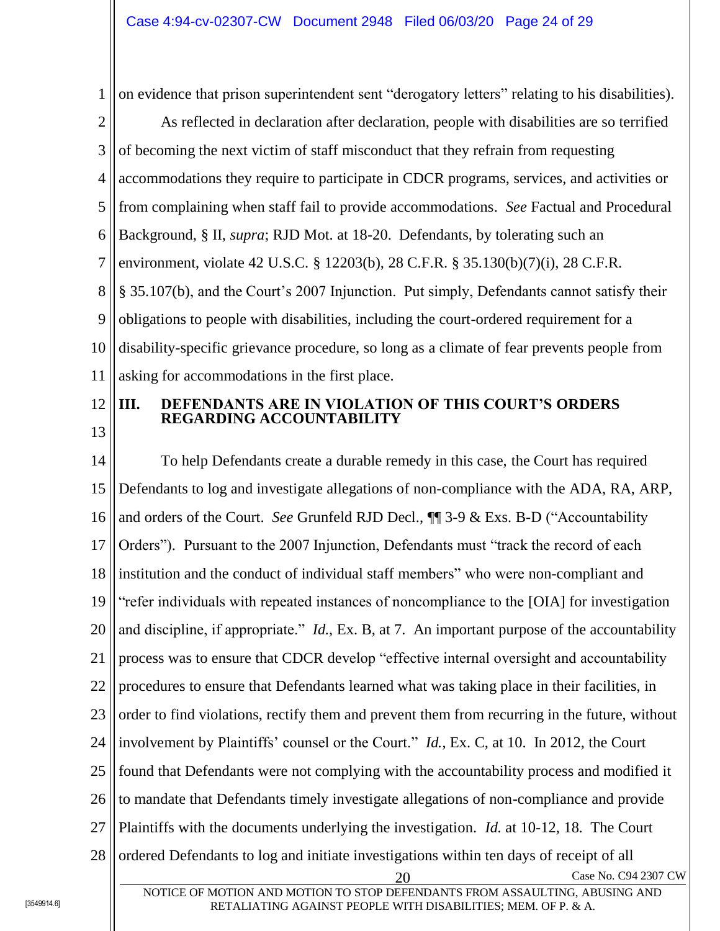1 on evidence that prison superintendent sent "derogatory letters" relating to his disabilities).

2 3 4 5 6 7 8 9 10 11 As reflected in declaration after declaration, people with disabilities are so terrified of becoming the next victim of staff misconduct that they refrain from requesting accommodations they require to participate in CDCR programs, services, and activities or from complaining when staff fail to provide accommodations. *See* Factual and Procedural Background, § II, *supra*; RJD Mot. at 18-20. Defendants, by tolerating such an environment, violate 42 U.S.C. § 12203(b), 28 C.F.R. § 35.130(b)(7)(i), 28 C.F.R. § 35.107(b), and the Court's 2007 Injunction. Put simply, Defendants cannot satisfy their obligations to people with disabilities, including the court-ordered requirement for a disability-specific grievance procedure, so long as a climate of fear prevents people from asking for accommodations in the first place.

12

# <span id="page-23-0"></span>**III. DEFENDANTS ARE IN VIOLATION OF THIS COURT'S ORDERS REGARDING ACCOUNTABILITY**

13

14 15 16 17 18 19 20 21 22 23 24 25 26 27 28 Case No. C94 2307 CW NOTICE OF MOTION AND MOTION TO STOP DEFENDANTS FROM ASSAULTING, ABUSING AND To help Defendants create a durable remedy in this case, the Court has required Defendants to log and investigate allegations of non-compliance with the ADA, RA, ARP, and orders of the Court. *See* Grunfeld RJD Decl., ¶¶ 3-9 & Exs. B-D ("Accountability Orders"). Pursuant to the 2007 Injunction, Defendants must "track the record of each institution and the conduct of individual staff members" who were non-compliant and "refer individuals with repeated instances of noncompliance to the [OIA] for investigation and discipline, if appropriate." *Id.*, Ex. B, at 7. An important purpose of the accountability process was to ensure that CDCR develop "effective internal oversight and accountability procedures to ensure that Defendants learned what was taking place in their facilities, in order to find violations, rectify them and prevent them from recurring in the future, without involvement by Plaintiffs' counsel or the Court." *Id.*, Ex. C, at 10. In 2012, the Court found that Defendants were not complying with the accountability process and modified it to mandate that Defendants timely investigate allegations of non-compliance and provide Plaintiffs with the documents underlying the investigation. *Id.* at 10-12, 18. The Court ordered Defendants to log and initiate investigations within ten days of receipt of all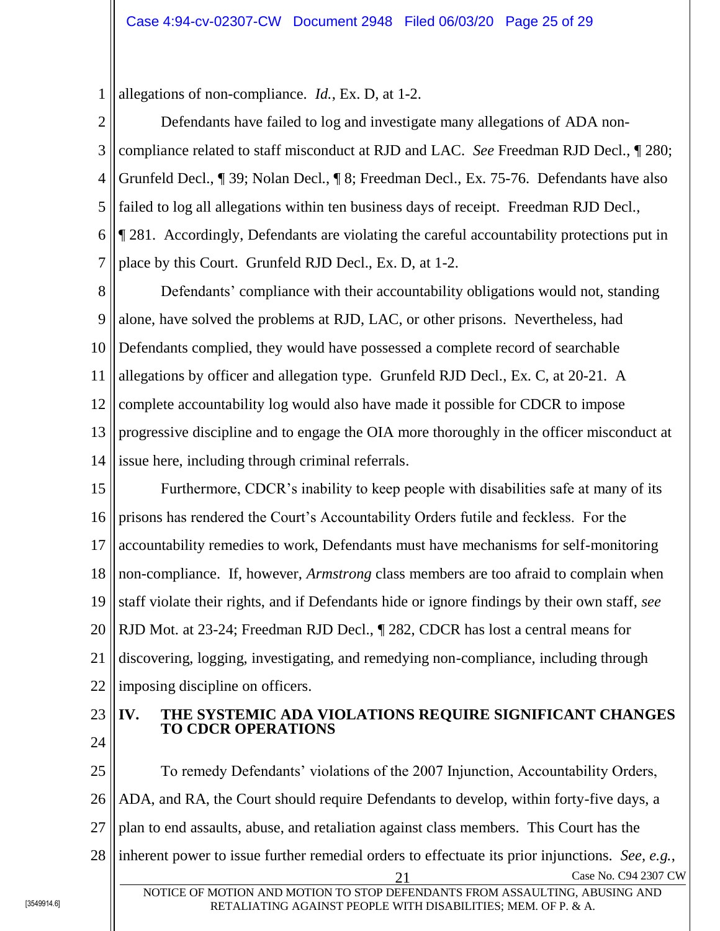1 allegations of non-compliance. *Id.*, Ex. D, at 1-2.

2 3 4 5 6 7 Defendants have failed to log and investigate many allegations of ADA noncompliance related to staff misconduct at RJD and LAC. *See* Freedman RJD Decl., ¶ 280; Grunfeld Decl., ¶ 39; Nolan Decl., ¶ 8; Freedman Decl., Ex. 75-76. Defendants have also failed to log all allegations within ten business days of receipt. Freedman RJD Decl., ¶ 281. Accordingly, Defendants are violating the careful accountability protections put in place by this Court. Grunfeld RJD Decl., Ex. D, at 1-2.

8 9 10 11 12 13 14 Defendants' compliance with their accountability obligations would not, standing alone, have solved the problems at RJD, LAC, or other prisons. Nevertheless, had Defendants complied, they would have possessed a complete record of searchable allegations by officer and allegation type. Grunfeld RJD Decl., Ex. C, at 20-21. A complete accountability log would also have made it possible for CDCR to impose progressive discipline and to engage the OIA more thoroughly in the officer misconduct at issue here, including through criminal referrals.

15 16 17 18 19 20 21 22 Furthermore, CDCR's inability to keep people with disabilities safe at many of its prisons has rendered the Court's Accountability Orders futile and feckless. For the accountability remedies to work, Defendants must have mechanisms for self-monitoring non-compliance. If, however, *Armstrong* class members are too afraid to complain when staff violate their rights, and if Defendants hide or ignore findings by their own staff, *see* RJD Mot. at 23-24; Freedman RJD Decl., ¶ 282, CDCR has lost a central means for discovering, logging, investigating, and remedying non-compliance, including through imposing discipline on officers.

23 24

## <span id="page-24-0"></span>**IV. THE SYSTEMIC ADA VIOLATIONS REQUIRE SIGNIFICANT CHANGES TO CDCR OPERATIONS**

25 26 27 28 Case No. C94 2307 CW To remedy Defendants' violations of the 2007 Injunction, Accountability Orders, ADA, and RA, the Court should require Defendants to develop, within forty-five days, a plan to end assaults, abuse, and retaliation against class members. This Court has the inherent power to issue further remedial orders to effectuate its prior injunctions. *See, e.g.*,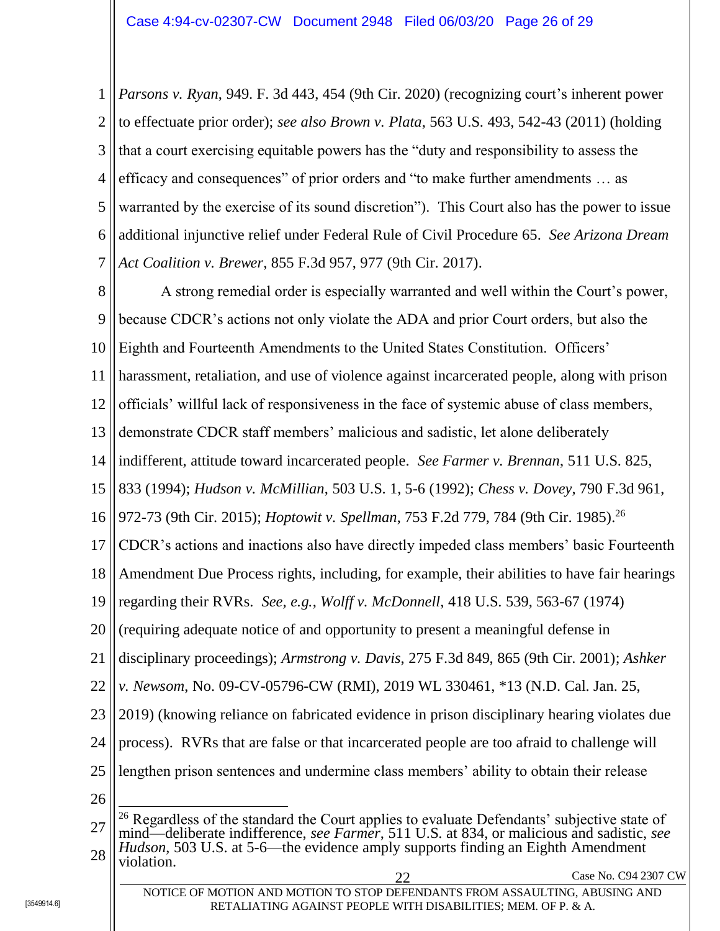1 2 3 4 5 6 7 *Parsons v. Ryan*, 949. F. 3d 443, 454 (9th Cir. 2020) (recognizing court's inherent power to effectuate prior order); *see also Brown v. Plata*, 563 U.S. 493, 542-43 (2011) (holding that a court exercising equitable powers has the "duty and responsibility to assess the efficacy and consequences" of prior orders and "to make further amendments … as warranted by the exercise of its sound discretion"). This Court also has the power to issue additional injunctive relief under Federal Rule of Civil Procedure 65. *See Arizona Dream Act Coalition v. Brewer*, 855 F.3d 957, 977 (9th Cir. 2017).

8 9 10 11 12 13 14 15 16 17 18 19 20 21 22 23 24 25 26 27 A strong remedial order is especially warranted and well within the Court's power, because CDCR's actions not only violate the ADA and prior Court orders, but also the Eighth and Fourteenth Amendments to the United States Constitution. Officers' harassment, retaliation, and use of violence against incarcerated people, along with prison officials' willful lack of responsiveness in the face of systemic abuse of class members, demonstrate CDCR staff members' malicious and sadistic, let alone deliberately indifferent, attitude toward incarcerated people. *See Farmer v. Brennan*, 511 U.S. 825, 833 (1994); *Hudson v. McMillian*, 503 U.S. 1, 5-6 (1992); *Chess v. Dovey*, 790 F.3d 961, 972-73 (9th Cir. 2015); *Hoptowit v. Spellman*, 753 F.2d 779, 784 (9th Cir. 1985). 26 CDCR's actions and inactions also have directly impeded class members' basic Fourteenth Amendment Due Process rights, including, for example, their abilities to have fair hearings regarding their RVRs. *See, e.g.*, *Wolff v. McDonnell*, 418 U.S. 539, 563-67 (1974) (requiring adequate notice of and opportunity to present a meaningful defense in disciplinary proceedings); *Armstrong v. Davis*, 275 F.3d 849, 865 (9th Cir. 2001); *Ashker v. Newsom*, No. 09-CV-05796-CW (RMI), 2019 WL 330461, \*13 (N.D. Cal. Jan. 25, 2019) (knowing reliance on fabricated evidence in prison disciplinary hearing violates due process). RVRs that are false or that incarcerated people are too afraid to challenge will lengthen prison sentences and undermine class members' ability to obtain their release  $\overline{a}$ <sup>26</sup> Regardless of the standard the Court applies to evaluate Defendants' subjective state of mind—deliberate indifference, *see Farmer*, 511 U.S. at 834, or malicious and sadistic, *see* 

NOTICE OF MOTION AND MOTION TO STOP DEFENDANTS FROM ASSAULTING, ABUSING AND RETALIATING AGAINST PEOPLE WITH DISABILITIES; MEM. OF P. & A.

<sup>28</sup> *Hudson*, 503 U.S. at 5-6—the evidence amply supports finding an Eighth Amendment violation.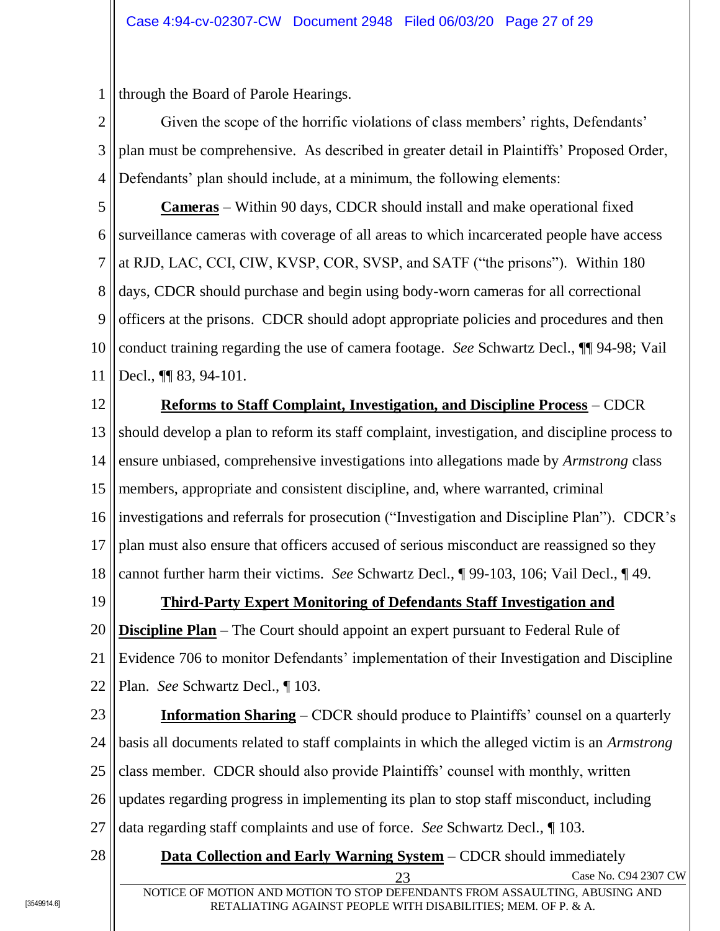1 through the Board of Parole Hearings.

2 3 4 Given the scope of the horrific violations of class members' rights, Defendants' plan must be comprehensive. As described in greater detail in Plaintiffs' Proposed Order, Defendants' plan should include, at a minimum, the following elements:

5 6 7 8 9 10 11 **Cameras** – Within 90 days, CDCR should install and make operational fixed surveillance cameras with coverage of all areas to which incarcerated people have access at RJD, LAC, CCI, CIW, KVSP, COR, SVSP, and SATF ("the prisons"). Within 180 days, CDCR should purchase and begin using body-worn cameras for all correctional officers at the prisons. CDCR should adopt appropriate policies and procedures and then conduct training regarding the use of camera footage. *See* Schwartz Decl., ¶¶ 94-98; Vail Decl., **¶** 83, 94-101.

12 13 14 15 16 17 18 **Reforms to Staff Complaint, Investigation, and Discipline Process** – CDCR should develop a plan to reform its staff complaint, investigation, and discipline process to ensure unbiased, comprehensive investigations into allegations made by *Armstrong* class members, appropriate and consistent discipline, and, where warranted, criminal investigations and referrals for prosecution ("Investigation and Discipline Plan"). CDCR's plan must also ensure that officers accused of serious misconduct are reassigned so they cannot further harm their victims. *See* Schwartz Decl., ¶ 99-103, 106; Vail Decl., ¶ 49.

19

# **Third-Party Expert Monitoring of Defendants Staff Investigation and**

20 21 22 **Discipline Plan** – The Court should appoint an expert pursuant to Federal Rule of Evidence 706 to monitor Defendants' implementation of their Investigation and Discipline Plan. *See* Schwartz Decl., ¶ 103.

23 24 25 26 27 **Information Sharing** – CDCR should produce to Plaintiffs' counsel on a quarterly basis all documents related to staff complaints in which the alleged victim is an *Armstrong* class member. CDCR should also provide Plaintiffs' counsel with monthly, written updates regarding progress in implementing its plan to stop staff misconduct, including data regarding staff complaints and use of force. *See* Schwartz Decl., ¶ 103.

28 23 Case No. C94 2307 CW **Data Collection and Early Warning System** – CDCR should immediately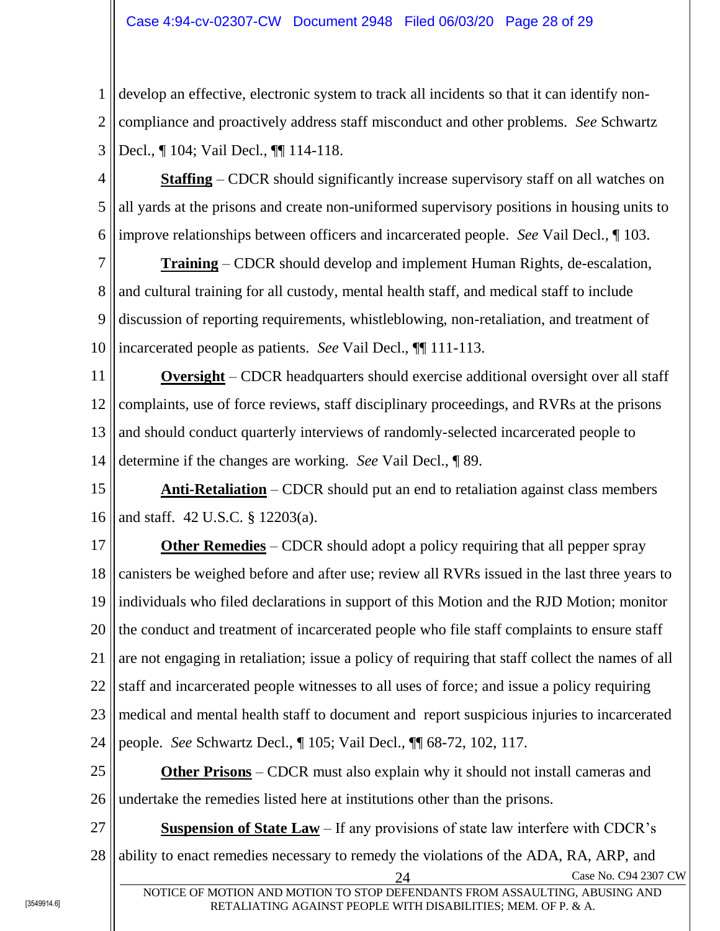1 2 3 develop an effective, electronic system to track all incidents so that it can identify noncompliance and proactively address staff misconduct and other problems. *See* Schwartz Decl., ¶ 104; Vail Decl., ¶¶ 114-118.

4 5 6 **Staffing** – CDCR should significantly increase supervisory staff on all watches on all yards at the prisons and create non-uniformed supervisory positions in housing units to improve relationships between officers and incarcerated people. *See* Vail Decl., ¶ 103.

7 8 9 10 **Training** – CDCR should develop and implement Human Rights, de-escalation, and cultural training for all custody, mental health staff, and medical staff to include discussion of reporting requirements, whistleblowing, non-retaliation, and treatment of incarcerated people as patients. *See* Vail Decl., ¶¶ 111-113.

11 12 13 14 **Oversight** – CDCR headquarters should exercise additional oversight over all staff complaints, use of force reviews, staff disciplinary proceedings, and RVRs at the prisons and should conduct quarterly interviews of randomly-selected incarcerated people to determine if the changes are working. *See* Vail Decl., ¶ 89.

15 16 **Anti-Retaliation** – CDCR should put an end to retaliation against class members and staff. 42 U.S.C. § 12203(a).

17 18 19 20 21 22 23 24 **Other Remedies** – CDCR should adopt a policy requiring that all pepper spray canisters be weighed before and after use; review all RVRs issued in the last three years to individuals who filed declarations in support of this Motion and the RJD Motion; monitor the conduct and treatment of incarcerated people who file staff complaints to ensure staff are not engaging in retaliation; issue a policy of requiring that staff collect the names of all staff and incarcerated people witnesses to all uses of force; and issue a policy requiring medical and mental health staff to document and report suspicious injuries to incarcerated people. *See* Schwartz Decl., ¶ 105; Vail Decl., ¶¶ 68-72, 102, 117.

25 26 **Other Prisons** – CDCR must also explain why it should not install cameras and undertake the remedies listed here at institutions other than the prisons.

27 28 Case No. C94 2307 CW **Suspension of State Law** – If any provisions of state law interfere with CDCR's ability to enact remedies necessary to remedy the violations of the ADA, RA, ARP, and